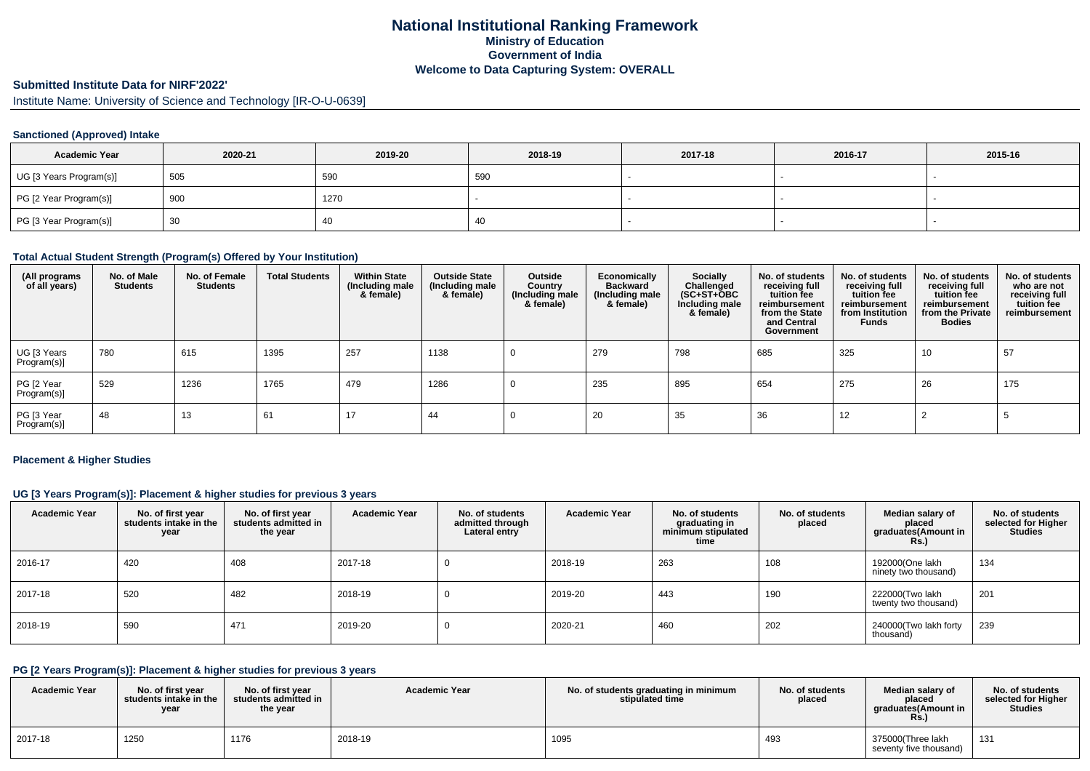## **National Institutional Ranking FrameworkMinistry of Education Government of IndiaWelcome to Data Capturing System: OVERALL**

# **Submitted Institute Data for NIRF'2022'**

Institute Name: University of Science and Technology [IR-O-U-0639]

### **Sanctioned (Approved) Intake**

| <b>Academic Year</b>    | 2020-21 | 2019-20 | 2018-19 | 2017-18 | 2016-17 | 2015-16 |
|-------------------------|---------|---------|---------|---------|---------|---------|
| UG [3 Years Program(s)] | 505     | 590     | 590     |         |         |         |
| PG [2 Year Program(s)]  | 900     | 1270    |         |         |         |         |
| PG [3 Year Program(s)]  | 30      | 41      |         |         |         |         |

#### **Total Actual Student Strength (Program(s) Offered by Your Institution)**

| (All programs<br>of all years) | No. of Male<br><b>Students</b> | No. of Female<br><b>Students</b> | <b>Total Students</b> | <b>Within State</b><br>(Including male<br>& female) | <b>Outside State</b><br>(Including male<br>& female) | Outside<br>Country<br>(Including male<br>& female) | Economically<br><b>Backward</b><br>(Including male<br>& female) | <b>Socially</b><br>Challenged<br>(SC+ST+ŎBC<br>Including male<br>& female) | No. of students<br>receiving full<br>tuition fee<br>reimbursement<br>from the State<br>and Central<br>Government | No. of students<br>receiving full<br>tuition fee<br>reimbursement<br>from Institution<br><b>Funds</b> | No. of students<br>receiving full<br>tuition fee<br>reimbursement<br>from the Private<br><b>Bodies</b> | No. of students<br>who are not<br>receiving full<br>tuition fee<br>reimbursement |
|--------------------------------|--------------------------------|----------------------------------|-----------------------|-----------------------------------------------------|------------------------------------------------------|----------------------------------------------------|-----------------------------------------------------------------|----------------------------------------------------------------------------|------------------------------------------------------------------------------------------------------------------|-------------------------------------------------------------------------------------------------------|--------------------------------------------------------------------------------------------------------|----------------------------------------------------------------------------------|
| UG [3 Years<br>Program(s)]     | 780                            | 615                              | 1395                  | 257                                                 | 1138                                                 |                                                    | 279                                                             | 798                                                                        | 685                                                                                                              | 325                                                                                                   | 10                                                                                                     | 57                                                                               |
| PG [2 Year<br>Program(s)]      | 529                            | 1236                             | 1765                  | 479                                                 | 1286                                                 |                                                    | 235                                                             | 895                                                                        | 654                                                                                                              | 275                                                                                                   | 26                                                                                                     | 175                                                                              |
| PG [3 Year<br>Program(s)]      | 48                             | 13                               | 61                    |                                                     | 44                                                   |                                                    | 20                                                              | 35                                                                         | 36                                                                                                               | 12                                                                                                    |                                                                                                        |                                                                                  |

#### **Placement & Higher Studies**

#### **UG [3 Years Program(s)]: Placement & higher studies for previous 3 years**

| <b>Academic Year</b> | No. of first year<br>students intake in the<br>year | No. of first year<br>students admitted in<br>the year | <b>Academic Year</b> | No. of students<br>admitted through<br>Lateral entry | <b>Academic Year</b> | No. of students<br>graduating in<br>minimum stipulated<br>time | No. of students<br>placed | Median salary of<br>placed<br>graduates(Amount in<br><b>Rs.)</b> | No. of students<br>selected for Higher<br><b>Studies</b> |
|----------------------|-----------------------------------------------------|-------------------------------------------------------|----------------------|------------------------------------------------------|----------------------|----------------------------------------------------------------|---------------------------|------------------------------------------------------------------|----------------------------------------------------------|
| 2016-17              | 420                                                 | 408                                                   | 2017-18              |                                                      | 2018-19              | 263                                                            | 108                       | 192000(One lakh<br>ninety two thousand)                          | 134                                                      |
| 2017-18              | 520                                                 | 482                                                   | 2018-19              |                                                      | 2019-20              | 443                                                            | 190                       | 222000(Two lakh<br>twenty two thousand)                          | 201                                                      |
| 2018-19              | 590                                                 | 471                                                   | 2019-20              |                                                      | 2020-21              | 460                                                            | 202                       | 240000(Two lakh forty<br>thousand)                               | 239                                                      |

## **PG [2 Years Program(s)]: Placement & higher studies for previous 3 years**

| <b>Academic Year</b> | No. of first year<br>students intake in the I<br>year | No. of first vear<br>students admitted in<br>the year | <b>Academic Year</b> | No. of students graduating in minimum<br>stipulated time | No. of students<br>placed | Median salary of<br>placed<br>araduates(Amount in<br>Rs. | No. of students<br>selected for Higher<br><b>Studies</b> |
|----------------------|-------------------------------------------------------|-------------------------------------------------------|----------------------|----------------------------------------------------------|---------------------------|----------------------------------------------------------|----------------------------------------------------------|
| 2017-18              | 1250                                                  | 1176                                                  | 2018-19              | 1095                                                     | 493                       | 375000(Three lakh<br>seventy five thousand)              | 131                                                      |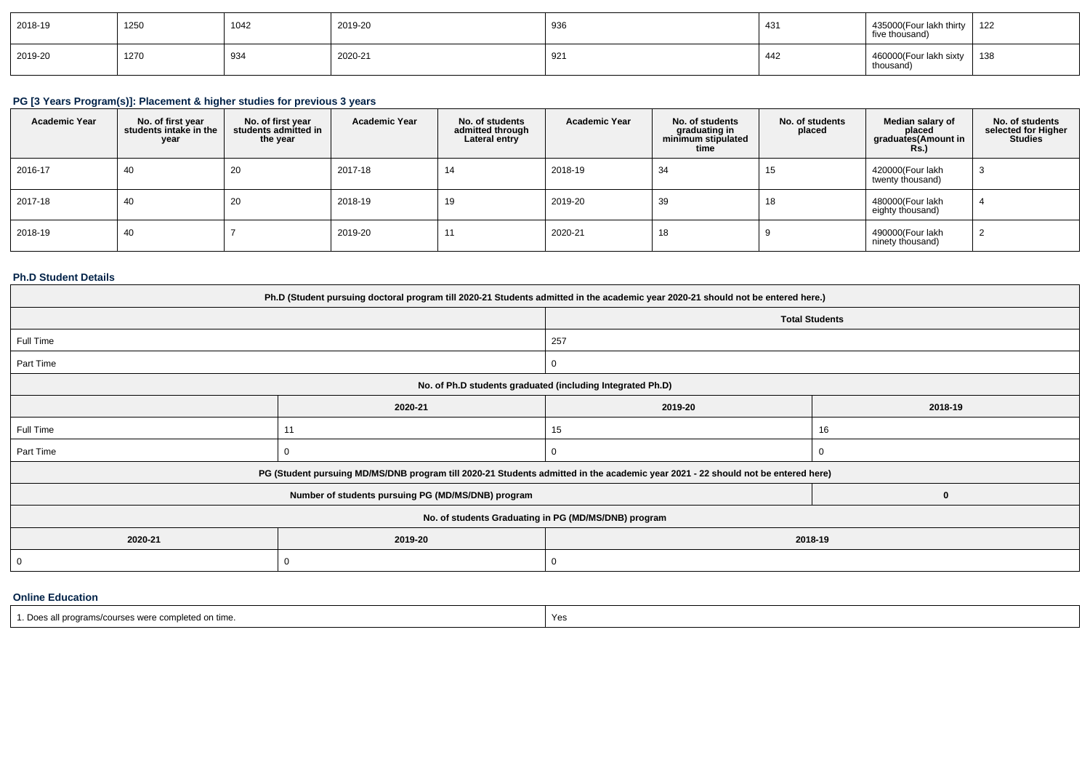| 2018-19 | 1250 | 1042 | 2019-20 | 936 | $\overline{A}$<br>ا ن+ | 435000(Four lakh thirty<br>five thousand) | 122<br>144 |
|---------|------|------|---------|-----|------------------------|-------------------------------------------|------------|
| 2019-20 | 1270 | 934  | 2020-21 | 921 | 442                    | 460000(Four lakh sixty<br>thousand)       | 138        |

# **PG [3 Years Program(s)]: Placement & higher studies for previous 3 years**

| <b>Academic Year</b> | No. of first year<br>students intake in the<br>year | No. of first year<br>students admitted in<br>the year | <b>Academic Year</b> | No. of students<br>admitted through<br>Lateral entry | <b>Academic Year</b> | No. of students<br>graduating in<br>minimum stipulated<br>time | No. of students<br>placed | Median salary of<br>placed<br>graduates(Amount in<br>Rs.) | No. of students<br>selected for Higher<br><b>Studies</b> |
|----------------------|-----------------------------------------------------|-------------------------------------------------------|----------------------|------------------------------------------------------|----------------------|----------------------------------------------------------------|---------------------------|-----------------------------------------------------------|----------------------------------------------------------|
| 2016-17              | 40                                                  | 20                                                    | 2017-18              | 14                                                   | 2018-19              | 34                                                             | 15                        | 420000(Four lakh<br>twenty thousand)                      |                                                          |
| 2017-18              | 40                                                  | 20                                                    | 2018-19              | 19                                                   | 2019-20              | 39                                                             | 18                        | 480000(Four lakh<br>eighty thousand)                      |                                                          |
| 2018-19              | 40                                                  |                                                       | 2019-20              | $1^{\circ}$                                          | 2020-21              | 18                                                             |                           | 490000(Four lakh<br>ninety thousand)                      |                                                          |

### **Ph.D Student Details**

| Ph.D (Student pursuing doctoral program till 2020-21 Students admitted in the academic year 2020-21 should not be entered here.) |                                                                                                                                  |                       |          |  |  |  |
|----------------------------------------------------------------------------------------------------------------------------------|----------------------------------------------------------------------------------------------------------------------------------|-----------------------|----------|--|--|--|
|                                                                                                                                  |                                                                                                                                  | <b>Total Students</b> |          |  |  |  |
| Full Time                                                                                                                        |                                                                                                                                  | 257                   |          |  |  |  |
| Part Time                                                                                                                        |                                                                                                                                  | υ                     |          |  |  |  |
|                                                                                                                                  | No. of Ph.D students graduated (including Integrated Ph.D)                                                                       |                       |          |  |  |  |
|                                                                                                                                  | 2020-21                                                                                                                          | 2019-20               | 2018-19  |  |  |  |
| Full Time                                                                                                                        | $1^{\circ}$                                                                                                                      | 15                    | 16       |  |  |  |
| Part Time                                                                                                                        |                                                                                                                                  |                       | $\Omega$ |  |  |  |
|                                                                                                                                  | PG (Student pursuing MD/MS/DNB program till 2020-21 Students admitted in the academic year 2021 - 22 should not be entered here) |                       |          |  |  |  |
|                                                                                                                                  | Number of students pursuing PG (MD/MS/DNB) program                                                                               |                       | $\bf{0}$ |  |  |  |
|                                                                                                                                  | No. of students Graduating in PG (MD/MS/DNB) program                                                                             |                       |          |  |  |  |
| 2020-21                                                                                                                          | 2019-20                                                                                                                          | 2018-19               |          |  |  |  |
| 0                                                                                                                                |                                                                                                                                  |                       |          |  |  |  |
|                                                                                                                                  |                                                                                                                                  |                       |          |  |  |  |

#### **Online Education**

| .                                                      |     |
|--------------------------------------------------------|-----|
| Does<br>s all programs/courses were completed on time. | Yes |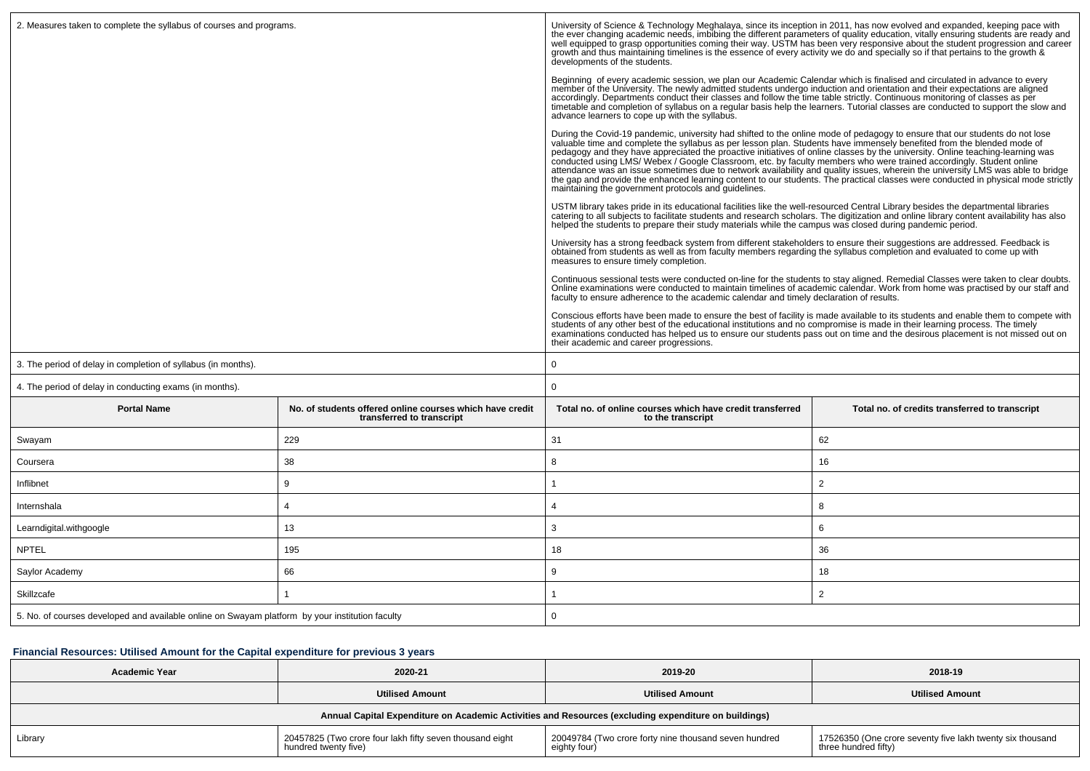| 2. Measures taken to complete the syllabus of courses and programs.                             |                                                                                       | University of Science & Technology Meghalaya, since its inception in 2011, has now evolved and expanded, keeping pace with<br>the ever changing academic needs, imbibing the different parameters of quality education, vitally e<br>well equipped to grasp opportunities coming their way. USTM has been very responsive about the student progression and career<br>growth and thus maintaining timelines is the essence of every activity we do and specially so if that pertains to the growth &<br>developments of the students.                                                                                                                                                                                                                                                                                  |                                                |  |  |  |
|-------------------------------------------------------------------------------------------------|---------------------------------------------------------------------------------------|------------------------------------------------------------------------------------------------------------------------------------------------------------------------------------------------------------------------------------------------------------------------------------------------------------------------------------------------------------------------------------------------------------------------------------------------------------------------------------------------------------------------------------------------------------------------------------------------------------------------------------------------------------------------------------------------------------------------------------------------------------------------------------------------------------------------|------------------------------------------------|--|--|--|
|                                                                                                 |                                                                                       | Beginning of every academic session, we plan our Academic Calendar which is finalised and circulated in advance to every<br>member of the University. The newly admitted students undergo induction and orientation and their expectations are aligned<br>accordingly. Departments conduct their classes and follow the time table strictly. Continuous monitoring of classes as per<br>timetable and completion of syllabus on a regular basis help the learners. Tutorial classes are conducted to support the slow and<br>advance learners to cope up with the syllabus.                                                                                                                                                                                                                                            |                                                |  |  |  |
|                                                                                                 |                                                                                       | During the Covid-19 pandemic, university had shifted to the online mode of pedagogy to ensure that our students do not lose valuable time and complete the syllabus as per lesson plan. Students have immensely benefited from<br>pedagogy and they have appreciated the proactive initiatives of online classes by the university. Online teaching-learning was<br>conducted using LMS/Webex / Google Classroom, etc. by faculty members who were trained accordingly. Student online<br>attendance was an issue sometimes due to network availability and quality issues, wherein the university LMS was able to bridge<br>the gap and provide the enhanced learning content to our students. The practical classes were conducted in physical mode strictly<br>maintaining the government protocols and quidelines. |                                                |  |  |  |
|                                                                                                 |                                                                                       | USTM library takes pride in its educational facilities like the well-resourced Central Library besides the departmental libraries<br>catering to all subjects to facilitate students and research scholars. The digitization and online library content availability has also<br>helped the students to prepare their study materials while the campus was closed during pandemic period.                                                                                                                                                                                                                                                                                                                                                                                                                              |                                                |  |  |  |
|                                                                                                 |                                                                                       | University has a strong feedback system from different stakeholders to ensure their suggestions are addressed. Feedback is<br>obtained from students as well as from faculty members regarding the syllabus completion and evaluated to come up with<br>measures to ensure timely completion.                                                                                                                                                                                                                                                                                                                                                                                                                                                                                                                          |                                                |  |  |  |
|                                                                                                 |                                                                                       | Continuous sessional tests were conducted on-line for the students to stay aligned. Remedial Classes were taken to clear doubts.<br>Online examinations were conducted to maintain timelines of academic calendar. Work from home was practised by our staff and<br>faculty to ensure adherence to the academic calendar and timely declaration of results.                                                                                                                                                                                                                                                                                                                                                                                                                                                            |                                                |  |  |  |
|                                                                                                 |                                                                                       | Conscious efforts have been made to ensure the best of facility is made available to its students and enable them to compete with<br>students of any other best of the educational institutions and no compromise is made in their learning process. The timely<br>examinations conducted has helped us to ensure our students pass out on time and the desirous placement is not missed out on<br>their academic and career progressions.                                                                                                                                                                                                                                                                                                                                                                             |                                                |  |  |  |
| 3. The period of delay in completion of syllabus (in months).                                   |                                                                                       | $\mathbf 0$                                                                                                                                                                                                                                                                                                                                                                                                                                                                                                                                                                                                                                                                                                                                                                                                            |                                                |  |  |  |
| 4. The period of delay in conducting exams (in months).                                         |                                                                                       | $\mathbf 0$                                                                                                                                                                                                                                                                                                                                                                                                                                                                                                                                                                                                                                                                                                                                                                                                            |                                                |  |  |  |
| <b>Portal Name</b>                                                                              | No. of students offered online courses which have credit<br>transferred to transcript | Total no, of online courses which have credit transferred<br>to the transcript                                                                                                                                                                                                                                                                                                                                                                                                                                                                                                                                                                                                                                                                                                                                         | Total no. of credits transferred to transcript |  |  |  |
| Swayam                                                                                          | 229                                                                                   | 31                                                                                                                                                                                                                                                                                                                                                                                                                                                                                                                                                                                                                                                                                                                                                                                                                     | 62                                             |  |  |  |
| Coursera                                                                                        | 38                                                                                    | 8                                                                                                                                                                                                                                                                                                                                                                                                                                                                                                                                                                                                                                                                                                                                                                                                                      | 16                                             |  |  |  |
| Inflibnet                                                                                       | 9                                                                                     | -1                                                                                                                                                                                                                                                                                                                                                                                                                                                                                                                                                                                                                                                                                                                                                                                                                     | $\overline{2}$                                 |  |  |  |
| Internshala                                                                                     | $\Delta$                                                                              | $\overline{4}$                                                                                                                                                                                                                                                                                                                                                                                                                                                                                                                                                                                                                                                                                                                                                                                                         | 8                                              |  |  |  |
| Learndigital.withgoogle                                                                         | 13                                                                                    | 3                                                                                                                                                                                                                                                                                                                                                                                                                                                                                                                                                                                                                                                                                                                                                                                                                      | 6                                              |  |  |  |
| <b>NPTEL</b>                                                                                    | 195                                                                                   | 18                                                                                                                                                                                                                                                                                                                                                                                                                                                                                                                                                                                                                                                                                                                                                                                                                     | 36                                             |  |  |  |
| Saylor Academy                                                                                  | 66                                                                                    | 9                                                                                                                                                                                                                                                                                                                                                                                                                                                                                                                                                                                                                                                                                                                                                                                                                      | 18                                             |  |  |  |
| Skillzcafe                                                                                      |                                                                                       | $\mathbf{1}$                                                                                                                                                                                                                                                                                                                                                                                                                                                                                                                                                                                                                                                                                                                                                                                                           | $\overline{2}$                                 |  |  |  |
| 5. No. of courses developed and available online on Swayam platform by your institution faculty |                                                                                       | $\mathbf 0$                                                                                                                                                                                                                                                                                                                                                                                                                                                                                                                                                                                                                                                                                                                                                                                                            |                                                |  |  |  |

## **Financial Resources: Utilised Amount for the Capital expenditure for previous 3 years**

| <b>Academic Year</b> | 2020-21                                                                                              | 2019-20                                                               | 2018-19                                                                           |  |  |  |  |
|----------------------|------------------------------------------------------------------------------------------------------|-----------------------------------------------------------------------|-----------------------------------------------------------------------------------|--|--|--|--|
|                      | <b>Utilised Amount</b>                                                                               | <b>Utilised Amount</b>                                                | <b>Utilised Amount</b>                                                            |  |  |  |  |
|                      | Annual Capital Expenditure on Academic Activities and Resources (excluding expenditure on buildings) |                                                                       |                                                                                   |  |  |  |  |
| Library              | 20457825 (Two crore four lakh fifty seven thousand eight<br>hundred twenty five)                     | 20049784 (Two crore forty nine thousand seven hundred<br>eighty four) | 17526350 (One crore seventy five lakh twenty six thousand<br>three hundred fifty) |  |  |  |  |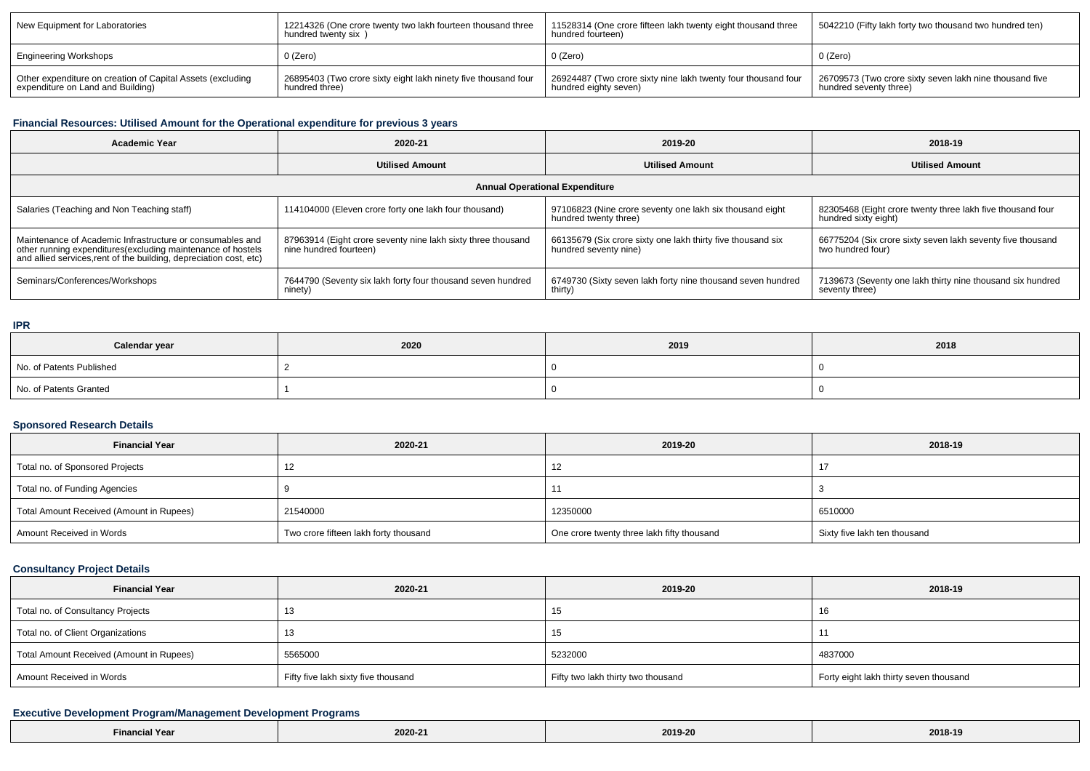| New Equipment for Laboratories                                                                  | 12214326 (One crore twenty two lakh fourteen thousand three<br>hundred twenty six ) | 11528314 (One crore fifteen lakh twenty eight thousand three<br>hundred fourteen)      | 5042210 (Fifty lakh forty two thousand two hundred ten)                           |
|-------------------------------------------------------------------------------------------------|-------------------------------------------------------------------------------------|----------------------------------------------------------------------------------------|-----------------------------------------------------------------------------------|
| Engineering Workshops                                                                           | 0 (Zero)                                                                            | 0 (Zero)                                                                               | 0 (Zero)                                                                          |
| Other expenditure on creation of Capital Assets (excluding<br>expenditure on Land and Building) | 26895403 (Two crore sixty eight lakh ninety five thousand four<br>hundred three)    | 26924487 (Two crore sixty nine lakh twenty four thousand four<br>hundred eighty seven) | 26709573 (Two crore sixty seven lakh nine thousand five<br>hundred seventy three) |

### **Financial Resources: Utilised Amount for the Operational expenditure for previous 3 years**

| Academic Year                                                                                                                                                                                   | 2020-21                                                                                | 2019-20                                                                              | 2018-19                                                                            |  |  |  |  |
|-------------------------------------------------------------------------------------------------------------------------------------------------------------------------------------------------|----------------------------------------------------------------------------------------|--------------------------------------------------------------------------------------|------------------------------------------------------------------------------------|--|--|--|--|
|                                                                                                                                                                                                 | <b>Utilised Amount</b>                                                                 | <b>Utilised Amount</b>                                                               | <b>Utilised Amount</b>                                                             |  |  |  |  |
| <b>Annual Operational Expenditure</b>                                                                                                                                                           |                                                                                        |                                                                                      |                                                                                    |  |  |  |  |
| Salaries (Teaching and Non Teaching staff)                                                                                                                                                      | 114104000 (Eleven crore forty one lakh four thousand)                                  | 97106823 (Nine crore seventy one lakh six thousand eight<br>hundred twenty three)    | 82305468 (Eight crore twenty three lakh five thousand four<br>hundred sixty eight) |  |  |  |  |
| Maintenance of Academic Infrastructure or consumables and<br>other running expenditures (excluding maintenance of hostels<br>and allied services, rent of the building, depreciation cost, etc) | 87963914 (Eight crore seventy nine lakh sixty three thousand<br>nine hundred fourteen) | 66135679 (Six crore sixty one lakh thirty five thousand six<br>hundred seventy nine) | 66775204 (Six crore sixty seven lakh seventy five thousand<br>two hundred four)    |  |  |  |  |
| Seminars/Conferences/Workshops                                                                                                                                                                  | 7644790 (Seventy six lakh forty four thousand seven hundred<br>ninety)                 | 6749730 (Sixty seven lakh forty nine thousand seven hundred<br>thirty)               | 7139673 (Seventy one lakh thirty nine thousand six hundred<br>seventy three)       |  |  |  |  |

#### **IPR**

| Calendar year            | 2020 | 2019 | 2018 |
|--------------------------|------|------|------|
| No. of Patents Published |      |      |      |
| No. of Patents Granted   |      |      |      |

### **Sponsored Research Details**

| <b>Financial Year</b>                    | 2020-21                               | 2019-20                                    | 2018-19                      |
|------------------------------------------|---------------------------------------|--------------------------------------------|------------------------------|
| Total no. of Sponsored Projects          | - 1                                   | 12                                         |                              |
| Total no. of Funding Agencies            |                                       |                                            |                              |
| Total Amount Received (Amount in Rupees) | 21540000                              | 12350000                                   | 6510000                      |
| Amount Received in Words                 | Two crore fifteen lakh forty thousand | One crore twenty three lakh fifty thousand | Sixty five lakh ten thousand |

### **Consultancy Project Details**

| <b>Financial Year</b>                    | 2020-21                             | 2019-20                            | 2018-19                                |
|------------------------------------------|-------------------------------------|------------------------------------|----------------------------------------|
| Total no. of Consultancy Projects        |                                     | 15                                 | ାଠ                                     |
| Total no. of Client Organizations        |                                     | ں ا                                |                                        |
| Total Amount Received (Amount in Rupees) | 5565000                             | 5232000                            | 4837000                                |
| Amount Received in Words                 | Fifty five lakh sixty five thousand | Fifty two lakh thirty two thousand | Forty eight lakh thirty seven thousand |

## **Executive Development Program/Management Development Programs**

| r eal | 2020-21 | 2019-20 | 2018-19 |
|-------|---------|---------|---------|
|-------|---------|---------|---------|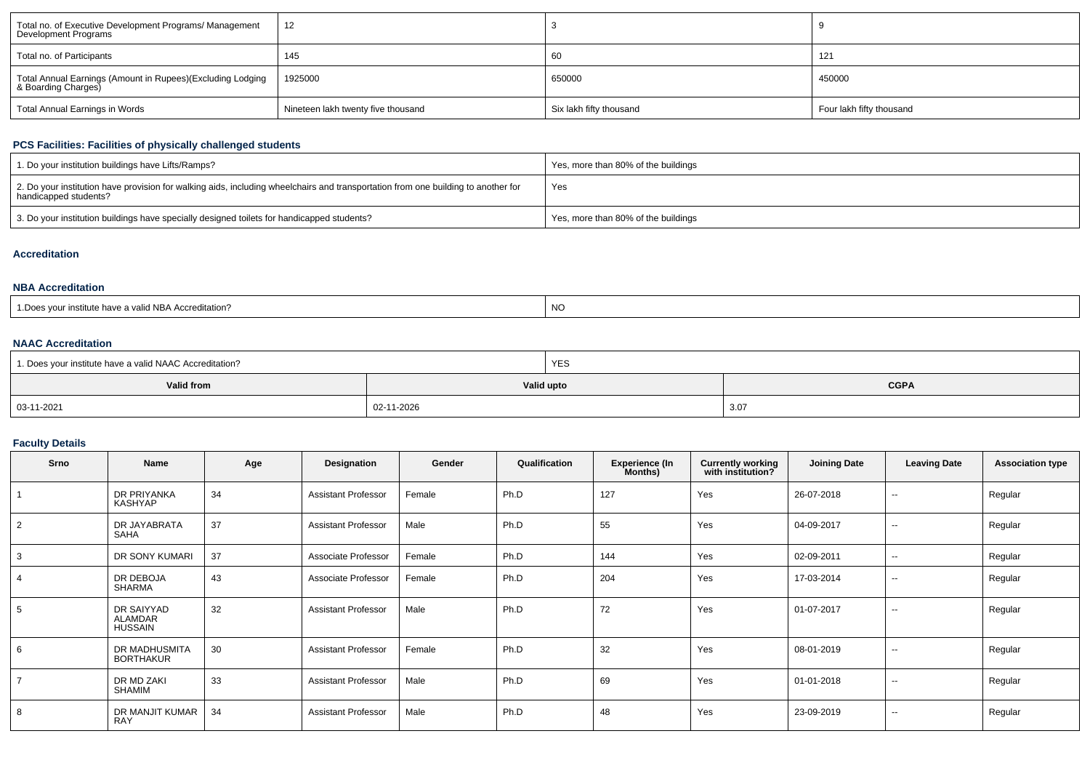| Total no. of Executive Development Programs/ Management<br>Development Programs   | 12                                 |                         |                          |
|-----------------------------------------------------------------------------------|------------------------------------|-------------------------|--------------------------|
| Total no. of Participants                                                         | 145                                | ಂರ                      | 121                      |
| Total Annual Earnings (Amount in Rupees)(Excluding Lodging<br>& Boarding Charges) | 1925000                            | 650000                  | 450000                   |
| Total Annual Earnings in Words                                                    | Nineteen lakh twenty five thousand | Six lakh fifty thousand | Four lakh fifty thousand |

## **PCS Facilities: Facilities of physically challenged students**

| 1. Do your institution buildings have Lifts/Ramps?                                                                                                         | Yes, more than 80% of the buildings |
|------------------------------------------------------------------------------------------------------------------------------------------------------------|-------------------------------------|
| 2. Do your institution have provision for walking aids, including wheelchairs and transportation from one building to another for<br>handicapped students? | Yes                                 |
| 3. Do your institution buildings have specially designed toilets for handicapped students?                                                                 | Yes, more than 80% of the buildings |

### **Accreditation**

#### **NBA Accreditation**

| s vour institute have a valid NBA Accreditation? | <b>NC</b> |
|--------------------------------------------------|-----------|
| : Does                                           |           |

#### **NAAC Accreditation**

| 1. Does your institute have a valid NAAC Accreditation? |            | YES        |             |
|---------------------------------------------------------|------------|------------|-------------|
| Valid from                                              |            | Valid upto | <b>CGPA</b> |
| 03-11-2021                                              | 02-11-2026 |            | 3.0         |

## **Faculty Details**

| Srno           | Name                                           | Age | Designation                | Gender | Qualification | <b>Experience (In</b><br>Months) | <b>Currently working</b><br>with institution? | <b>Joining Date</b> | <b>Leaving Date</b>      | <b>Association type</b> |
|----------------|------------------------------------------------|-----|----------------------------|--------|---------------|----------------------------------|-----------------------------------------------|---------------------|--------------------------|-------------------------|
|                | DR PRIYANKA<br>KASHYAP                         | 34  | <b>Assistant Professor</b> | Female | Ph.D          | 127                              | Yes                                           | 26-07-2018          | $\overline{\phantom{a}}$ | Regular                 |
| 2              | DR JAYABRATA<br>SAHA                           | 37  | <b>Assistant Professor</b> | Male   | Ph.D          | 55                               | Yes                                           | 04-09-2017          | $\sim$                   | Regular                 |
| 3              | DR SONY KUMARI                                 | 37  | Associate Professor        | Female | Ph.D          | 144                              | Yes                                           | 02-09-2011          | $\sim$                   | Regular                 |
| $\overline{4}$ | DR DEBOJA<br>SHARMA                            | 43  | Associate Professor        | Female | Ph.D          | 204                              | Yes                                           | 17-03-2014          | $\sim$                   | Regular                 |
| 5              | DR SAIYYAD<br><b>ALAMDAR</b><br><b>HUSSAIN</b> | 32  | <b>Assistant Professor</b> | Male   | Ph.D          | 72                               | Yes                                           | 01-07-2017          | $\sim$                   | Regular                 |
| 6              | DR MADHUSMITA<br><b>BORTHAKUR</b>              | 30  | <b>Assistant Professor</b> | Female | Ph.D          | 32                               | Yes                                           | 08-01-2019          | $\overline{\phantom{a}}$ | Regular                 |
| $\overline{7}$ | DR MD ZAKI<br>SHAMIM                           | 33  | <b>Assistant Professor</b> | Male   | Ph.D          | 69                               | Yes                                           | 01-01-2018          | $\sim$                   | Regular                 |
| 8              | DR MANJIT KUMAR<br><b>RAY</b>                  | 34  | <b>Assistant Professor</b> | Male   | Ph.D          | 48                               | Yes                                           | 23-09-2019          | $\sim$                   | Regular                 |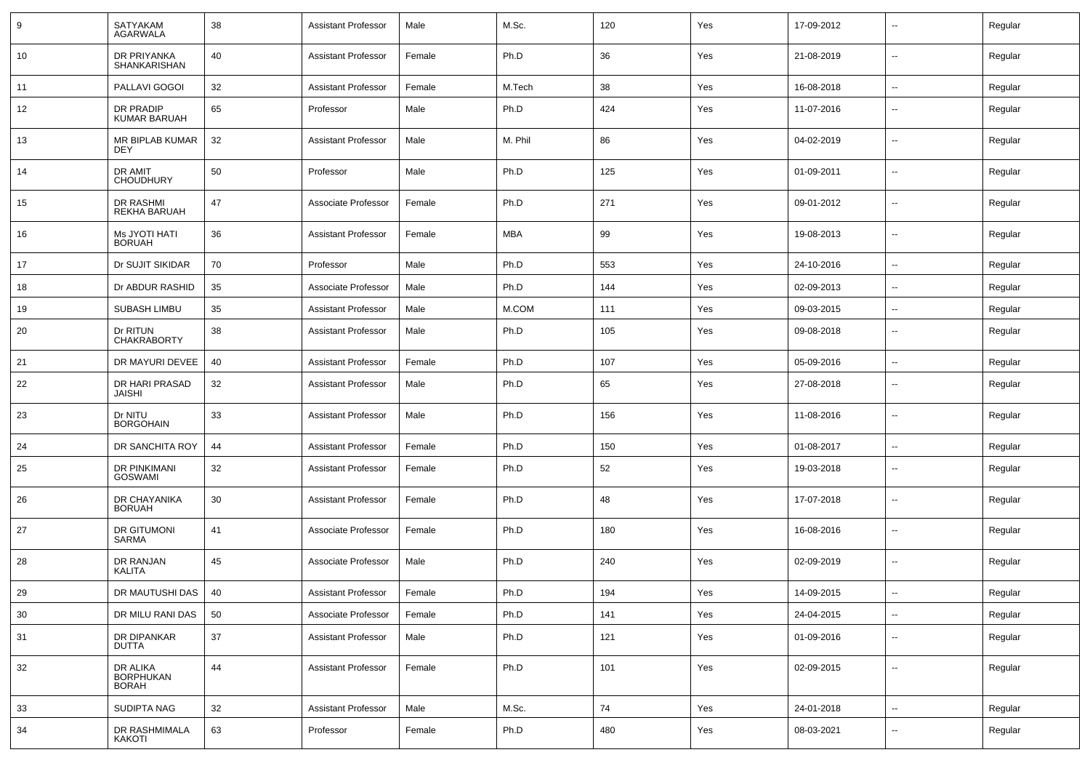| 9  | SATYAKAM<br>AGARWALA                  | 38 | <b>Assistant Professor</b> | Male   | M.Sc.      | 120 | Yes | 17-09-2012 | $\overline{\phantom{a}}$ | Regular |
|----|---------------------------------------|----|----------------------------|--------|------------|-----|-----|------------|--------------------------|---------|
| 10 | DR PRIYANKA<br><b>SHANKARISHAN</b>    | 40 | <b>Assistant Professor</b> | Female | Ph.D       | 36  | Yes | 21-08-2019 | $\sim$                   | Regular |
| 11 | PALLAVI GOGOI                         | 32 | <b>Assistant Professor</b> | Female | M.Tech     | 38  | Yes | 16-08-2018 | $\sim$                   | Regular |
| 12 | DR PRADIP<br><b>KUMAR BARUAH</b>      | 65 | Professor                  | Male   | Ph.D       | 424 | Yes | 11-07-2016 | --                       | Regular |
| 13 | MR BIPLAB KUMAR<br><b>DEY</b>         | 32 | <b>Assistant Professor</b> | Male   | M. Phil    | 86  | Yes | 04-02-2019 | --                       | Regular |
| 14 | DR AMIT<br><b>CHOUDHURY</b>           | 50 | Professor                  | Male   | Ph.D       | 125 | Yes | 01-09-2011 | $\overline{\phantom{a}}$ | Regular |
| 15 | <b>DR RASHMI</b><br>REKHA BARUAH      | 47 | Associate Professor        | Female | Ph.D       | 271 | Yes | 09-01-2012 | $\overline{\phantom{a}}$ | Regular |
| 16 | Ms JYOTI HATI<br><b>BORUAH</b>        | 36 | <b>Assistant Professor</b> | Female | <b>MBA</b> | 99  | Yes | 19-08-2013 | --                       | Regular |
| 17 | Dr SUJIT SIKIDAR                      | 70 | Professor                  | Male   | Ph.D       | 553 | Yes | 24-10-2016 | $\overline{\phantom{a}}$ | Regular |
| 18 | Dr ABDUR RASHID                       | 35 | Associate Professor        | Male   | Ph.D       | 144 | Yes | 02-09-2013 | $\overline{a}$           | Regular |
| 19 | SUBASH LIMBU                          | 35 | <b>Assistant Professor</b> | Male   | M.COM      | 111 | Yes | 09-03-2015 | $\overline{\phantom{a}}$ | Regular |
| 20 | Dr RITUN<br><b>CHAKRABORTY</b>        | 38 | <b>Assistant Professor</b> | Male   | Ph.D       | 105 | Yes | 09-08-2018 | --                       | Regular |
| 21 | DR MAYURI DEVEE                       | 40 | <b>Assistant Professor</b> | Female | Ph.D       | 107 | Yes | 05-09-2016 | $\overline{\phantom{a}}$ | Regular |
| 22 | DR HARI PRASAD<br><b>JAISHI</b>       | 32 | <b>Assistant Professor</b> | Male   | Ph.D       | 65  | Yes | 27-08-2018 | $\mathbf{u}$             | Regular |
| 23 | Dr NITU<br><b>BORGOHAIN</b>           | 33 | <b>Assistant Professor</b> | Male   | Ph.D       | 156 | Yes | 11-08-2016 | $\overline{a}$           | Regular |
| 24 | DR SANCHITA ROY                       | 44 | <b>Assistant Professor</b> | Female | Ph.D       | 150 | Yes | 01-08-2017 | $\mathbf{u}$             | Regular |
| 25 | DR PINKIMANI<br><b>GOSWAMI</b>        | 32 | <b>Assistant Professor</b> | Female | Ph.D       | 52  | Yes | 19-03-2018 | $\mathbf{u}$             | Regular |
| 26 | DR CHAYANIKA<br><b>BORUAH</b>         | 30 | <b>Assistant Professor</b> | Female | Ph.D       | 48  | Yes | 17-07-2018 | $\mathbf{u}$             | Regular |
| 27 | DR GITUMONI<br><b>SARMA</b>           | 41 | Associate Professor        | Female | Ph.D       | 180 | Yes | 16-08-2016 | $\mathbf{u}$             | Regular |
| 28 | <b>DR RANJAN</b><br>KALITA            | 45 | Associate Professor        | Male   | Ph.D       | 240 | Yes | 02-09-2019 | $\sim$                   | Regular |
| 29 | DR MAUTUSHI DAS                       | 40 | Assistant Professor        | Female | Ph.D       | 194 | Yes | 14-09-2015 |                          | Regular |
| 30 | DR MILU RANI DAS                      | 50 | Associate Professor        | Female | Ph.D       | 141 | Yes | 24-04-2015 | $\sim$                   | Regular |
| 31 | DR DIPANKAR<br><b>DUTTA</b>           | 37 | <b>Assistant Professor</b> | Male   | Ph.D       | 121 | Yes | 01-09-2016 | $\sim$                   | Regular |
| 32 | DR ALIKA<br>BORPHUKAN<br><b>BORAH</b> | 44 | <b>Assistant Professor</b> | Female | Ph.D       | 101 | Yes | 02-09-2015 | $\sim$                   | Regular |
| 33 | SUDIPTA NAG                           | 32 | <b>Assistant Professor</b> | Male   | M.Sc.      | 74  | Yes | 24-01-2018 | $\sim$                   | Regular |
| 34 | DR RASHMIMALA<br>KAKOTI               | 63 | Professor                  | Female | Ph.D       | 480 | Yes | 08-03-2021 | $\overline{\phantom{a}}$ | Regular |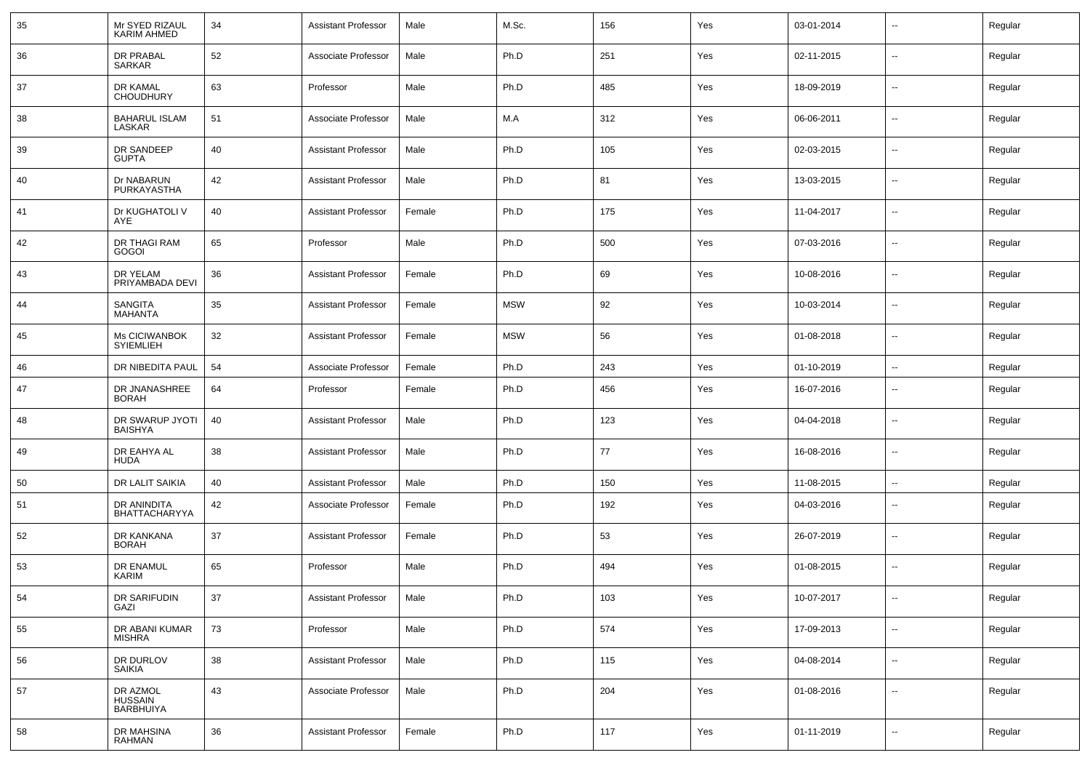| 35 | Mr SYED RIZAUL<br><b>KARIM AHMED</b> | 34 | <b>Assistant Professor</b> | Male   | M.Sc.      | 156 | Yes | 03-01-2014 | --                       | Regular |
|----|--------------------------------------|----|----------------------------|--------|------------|-----|-----|------------|--------------------------|---------|
| 36 | DR PRABAL<br>SARKAR                  | 52 | Associate Professor        | Male   | Ph.D       | 251 | Yes | 02-11-2015 | $\sim$                   | Regular |
| 37 | DR KAMAL<br><b>CHOUDHURY</b>         | 63 | Professor                  | Male   | Ph.D       | 485 | Yes | 18-09-2019 | $\overline{\phantom{a}}$ | Regular |
| 38 | <b>BAHARUL ISLAM</b><br>LASKAR       | 51 | Associate Professor        | Male   | M.A        | 312 | Yes | 06-06-2011 | $\sim$                   | Regular |
| 39 | DR SANDEEP<br><b>GUPTA</b>           | 40 | <b>Assistant Professor</b> | Male   | Ph.D       | 105 | Yes | 02-03-2015 | $\sim$                   | Regular |
| 40 | Dr NABARUN<br>PURKAYASTHA            | 42 | <b>Assistant Professor</b> | Male   | Ph.D       | 81  | Yes | 13-03-2015 | $\sim$                   | Regular |
| 41 | Dr KUGHATOLI V<br>AYE                | 40 | <b>Assistant Professor</b> | Female | Ph.D       | 175 | Yes | 11-04-2017 | $\sim$                   | Regular |
| 42 | DR THAGI RAM<br>GOGOI                | 65 | Professor                  | Male   | Ph.D       | 500 | Yes | 07-03-2016 | $\sim$                   | Regular |
| 43 | DR YELAM<br>PRIYAMBADA DEVI          | 36 | <b>Assistant Professor</b> | Female | Ph.D       | 69  | Yes | 10-08-2016 | $\sim$                   | Regular |
| 44 | <b>SANGITA</b><br><b>MAHANTA</b>     | 35 | <b>Assistant Professor</b> | Female | <b>MSW</b> | 92  | Yes | 10-03-2014 | $\sim$                   | Regular |
| 45 | Ms CICIWANBOK<br><b>SYIEMLIEH</b>    | 32 | <b>Assistant Professor</b> | Female | <b>MSW</b> | 56  | Yes | 01-08-2018 | $\overline{\phantom{a}}$ | Regular |
| 46 | DR NIBEDITA PAUL                     | 54 | Associate Professor        | Female | Ph.D       | 243 | Yes | 01-10-2019 | $\sim$                   | Regular |
| 47 | DR JNANASHREE<br><b>BORAH</b>        | 64 | Professor                  | Female | Ph.D       | 456 | Yes | 16-07-2016 | --                       | Regular |
| 48 | DR SWARUP JYOTI<br><b>BAISHYA</b>    | 40 | <b>Assistant Professor</b> | Male   | Ph.D       | 123 | Yes | 04-04-2018 | --                       | Regular |
| 49 | DR EAHYA AL<br>HUDA                  | 38 | <b>Assistant Professor</b> | Male   | Ph.D       | 77  | Yes | 16-08-2016 | --                       | Regular |
| 50 | DR LALIT SAIKIA                      | 40 | <b>Assistant Professor</b> | Male   | Ph.D       | 150 | Yes | 11-08-2015 | --                       | Regular |
| 51 | DR ANINDITA<br><b>BHATTACHARYYA</b>  | 42 | Associate Professor        | Female | Ph.D       | 192 | Yes | 04-03-2016 | --                       | Regular |
| 52 | DR KANKANA<br><b>BORAH</b>           | 37 | <b>Assistant Professor</b> | Female | Ph.D       | 53  | Yes | 26-07-2019 | $\sim$                   | Regular |
| 53 | <b>DR ENAMUL</b><br><b>KARIM</b>     | 65 | Professor                  | Male   | Ph.D       | 494 | Yes | 01-08-2015 | --                       | Regular |
| 54 | DR SARIFUDIN<br>GAZI                 | 37 | <b>Assistant Professor</b> | Male   | Ph.D       | 103 | Yes | 10-07-2017 | $\sim$                   | Regular |
| 55 | DR ABANI KUMAR<br><b>MISHRA</b>      | 73 | Professor                  | Male   | Ph.D       | 574 | Yes | 17-09-2013 | u.                       | Regular |
| 56 | DR DURLOV<br>SAIKIA                  | 38 | <b>Assistant Professor</b> | Male   | Ph.D       | 115 | Yes | 04-08-2014 | $\overline{\phantom{a}}$ | Regular |
| 57 | DR AZMOL<br>HUSSAIN<br>BARBHUIYA     | 43 | Associate Professor        | Male   | Ph.D       | 204 | Yes | 01-08-2016 | $\overline{\phantom{a}}$ | Regular |
| 58 | DR MAHSINA<br>RAHMAN                 | 36 | <b>Assistant Professor</b> | Female | Ph.D       | 117 | Yes | 01-11-2019 | Ξ.                       | Regular |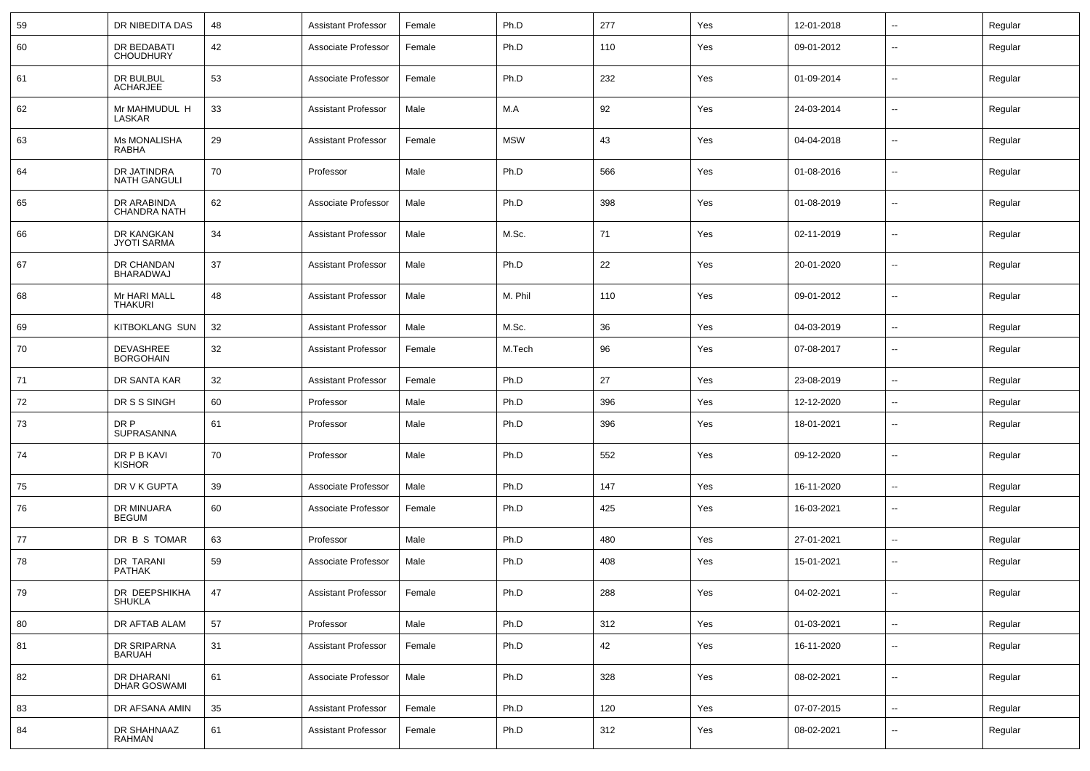| 59 | DR NIBEDITA DAS                      | 48 | <b>Assistant Professor</b> | Female | Ph.D       | 277 | Yes | 12-01-2018 | н.                       | Regular |
|----|--------------------------------------|----|----------------------------|--------|------------|-----|-----|------------|--------------------------|---------|
| 60 | DR BEDABATI<br><b>CHOUDHURY</b>      | 42 | Associate Professor        | Female | Ph.D       | 110 | Yes | 09-01-2012 | $\overline{\phantom{a}}$ | Regular |
| 61 | DR BULBUL<br><b>ACHARJEE</b>         | 53 | Associate Professor        | Female | Ph.D       | 232 | Yes | 01-09-2014 | $\overline{\phantom{a}}$ | Regular |
| 62 | Mr MAHMUDUL H<br>LASKAR              | 33 | <b>Assistant Professor</b> | Male   | M.A        | 92  | Yes | 24-03-2014 | $\overline{\phantom{a}}$ | Regular |
| 63 | Ms MONALISHA<br>RABHA                | 29 | <b>Assistant Professor</b> | Female | <b>MSW</b> | 43  | Yes | 04-04-2018 | $\overline{\phantom{a}}$ | Regular |
| 64 | DR JATINDRA<br><b>NATH GANGULI</b>   | 70 | Professor                  | Male   | Ph.D       | 566 | Yes | 01-08-2016 | $\overline{\phantom{a}}$ | Regular |
| 65 | DR ARABINDA<br><b>CHANDRA NATH</b>   | 62 | Associate Professor        | Male   | Ph.D       | 398 | Yes | 01-08-2019 | $\overline{a}$           | Regular |
| 66 | DR KANGKAN<br><b>JYOTI SARMA</b>     | 34 | <b>Assistant Professor</b> | Male   | M.Sc.      | 71  | Yes | 02-11-2019 | $\overline{\phantom{a}}$ | Regular |
| 67 | DR CHANDAN<br><b>BHARADWAJ</b>       | 37 | <b>Assistant Professor</b> | Male   | Ph.D       | 22  | Yes | 20-01-2020 | $\overline{a}$           | Regular |
| 68 | Mr HARI MALL<br><b>THAKURI</b>       | 48 | <b>Assistant Professor</b> | Male   | M. Phil    | 110 | Yes | 09-01-2012 | $\overline{\phantom{a}}$ | Regular |
| 69 | <b>KITBOKLANG SUN</b>                | 32 | <b>Assistant Professor</b> | Male   | M.Sc.      | 36  | Yes | 04-03-2019 | $\sim$                   | Regular |
| 70 | <b>DEVASHREE</b><br><b>BORGOHAIN</b> | 32 | <b>Assistant Professor</b> | Female | M.Tech     | 96  | Yes | 07-08-2017 | --                       | Regular |
| 71 | DR SANTA KAR                         | 32 | <b>Assistant Professor</b> | Female | Ph.D       | 27  | Yes | 23-08-2019 | --                       | Regular |
| 72 | DR S S SINGH                         | 60 | Professor                  | Male   | Ph.D       | 396 | Yes | 12-12-2020 | -−                       | Regular |
| 73 | DR P<br>SUPRASANNA                   | 61 | Professor                  | Male   | Ph.D       | 396 | Yes | 18-01-2021 | $\overline{\phantom{a}}$ | Regular |
| 74 | DR P B KAVI<br><b>KISHOR</b>         | 70 | Professor                  | Male   | Ph.D       | 552 | Yes | 09-12-2020 | $\overline{\phantom{a}}$ | Regular |
| 75 | DR V K GUPTA                         | 39 | Associate Professor        | Male   | Ph.D       | 147 | Yes | 16-11-2020 | $\overline{\phantom{a}}$ | Regular |
| 76 | DR MINUARA<br><b>BEGUM</b>           | 60 | Associate Professor        | Female | Ph.D       | 425 | Yes | 16-03-2021 | ⊷.                       | Regular |
| 77 | DR B S TOMAR                         | 63 | Professor                  | Male   | Ph.D       | 480 | Yes | 27-01-2021 | $\overline{\phantom{a}}$ | Regular |
| 78 | DR TARANI<br><b>PATHAK</b>           | 59 | Associate Professor        | Male   | Ph.D       | 408 | Yes | 15-01-2021 | $\overline{\phantom{a}}$ | Regular |
| 79 | DR DEEPSHIKHA<br><b>SHUKLA</b>       | 47 | <b>Assistant Professor</b> | Female | Ph.D       | 288 | Yes | 04-02-2021 | --                       | Regular |
| 80 | DR AFTAB ALAM                        | 57 | Professor                  | Male   | Ph.D       | 312 | Yes | 01-03-2021 | $\sim$                   | Regular |
| 81 | DR SRIPARNA<br><b>BARUAH</b>         | 31 | <b>Assistant Professor</b> | Female | Ph.D       | 42  | Yes | 16-11-2020 | $\sim$                   | Regular |
| 82 | DR DHARANI<br><b>DHAR GOSWAMI</b>    | 61 | Associate Professor        | Male   | Ph.D       | 328 | Yes | 08-02-2021 | $\sim$                   | Regular |
| 83 | DR AFSANA AMIN                       | 35 | <b>Assistant Professor</b> | Female | Ph.D       | 120 | Yes | 07-07-2015 | $\sim$                   | Regular |
| 84 | DR SHAHNAAZ<br>RAHMAN                | 61 | <b>Assistant Professor</b> | Female | Ph.D       | 312 | Yes | 08-02-2021 | н.                       | Regular |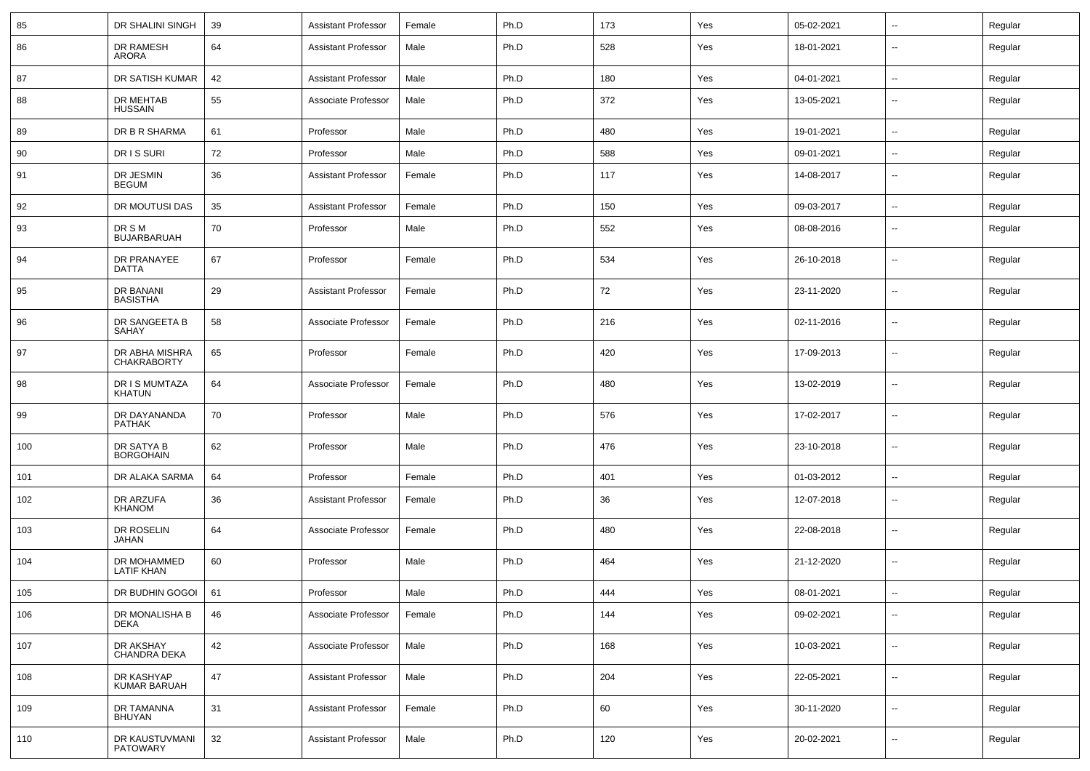| 85  | DR SHALINI SINGH                     | 39 | <b>Assistant Professor</b> | Female | Ph.D | 173 | Yes | 05-02-2021 | $\sim$                   | Regular |
|-----|--------------------------------------|----|----------------------------|--------|------|-----|-----|------------|--------------------------|---------|
| 86  | DR RAMESH<br>ARORA                   | 64 | <b>Assistant Professor</b> | Male   | Ph.D | 528 | Yes | 18-01-2021 | $\overline{\phantom{a}}$ | Regular |
| 87  | DR SATISH KUMAR                      | 42 | <b>Assistant Professor</b> | Male   | Ph.D | 180 | Yes | 04-01-2021 | $\sim$                   | Regular |
| 88  | <b>DR MEHTAB</b><br><b>HUSSAIN</b>   | 55 | Associate Professor        | Male   | Ph.D | 372 | Yes | 13-05-2021 | $\overline{\phantom{a}}$ | Regular |
| 89  | DR B R SHARMA                        | 61 | Professor                  | Male   | Ph.D | 480 | Yes | 19-01-2021 | $\overline{\phantom{a}}$ | Regular |
| 90  | DR IS SURI                           | 72 | Professor                  | Male   | Ph.D | 588 | Yes | 09-01-2021 | --                       | Regular |
| 91  | DR JESMIN<br><b>BEGUM</b>            | 36 | <b>Assistant Professor</b> | Female | Ph.D | 117 | Yes | 14-08-2017 | $\overline{\phantom{a}}$ | Regular |
| 92  | DR MOUTUSI DAS                       | 35 | <b>Assistant Professor</b> | Female | Ph.D | 150 | Yes | 09-03-2017 | $\overline{\phantom{a}}$ | Regular |
| 93  | DR S M<br><b>BUJARBARUAH</b>         | 70 | Professor                  | Male   | Ph.D | 552 | Yes | 08-08-2016 | --                       | Regular |
| 94  | DR PRANAYEE<br>DATTA                 | 67 | Professor                  | Female | Ph.D | 534 | Yes | 26-10-2018 | $\overline{a}$           | Regular |
| 95  | DR BANANI<br><b>BASISTHA</b>         | 29 | <b>Assistant Professor</b> | Female | Ph.D | 72  | Yes | 23-11-2020 | $\overline{\phantom{a}}$ | Regular |
| 96  | DR SANGEETA B<br>SAHAY               | 58 | Associate Professor        | Female | Ph.D | 216 | Yes | 02-11-2016 | $\overline{a}$           | Regular |
| 97  | DR ABHA MISHRA<br><b>CHAKRABORTY</b> | 65 | Professor                  | Female | Ph.D | 420 | Yes | 17-09-2013 | $\overline{\phantom{a}}$ | Regular |
| 98  | DR I S MUMTAZA<br>KHATUN             | 64 | Associate Professor        | Female | Ph.D | 480 | Yes | 13-02-2019 | --                       | Regular |
| 99  | DR DAYANANDA<br><b>PATHAK</b>        | 70 | Professor                  | Male   | Ph.D | 576 | Yes | 17-02-2017 | --                       | Regular |
| 100 | DR SATYA B<br><b>BORGOHAIN</b>       | 62 | Professor                  | Male   | Ph.D | 476 | Yes | 23-10-2018 | --                       | Regular |
| 101 | DR ALAKA SARMA                       | 64 | Professor                  | Female | Ph.D | 401 | Yes | 01-03-2012 | $\overline{\phantom{a}}$ | Regular |
| 102 | DR ARZUFA<br><b>KHANOM</b>           | 36 | <b>Assistant Professor</b> | Female | Ph.D | 36  | Yes | 12-07-2018 | $\sim$                   | Regular |
| 103 | DR ROSELIN<br><b>JAHAN</b>           | 64 | Associate Professor        | Female | Ph.D | 480 | Yes | 22-08-2018 | $\overline{\phantom{a}}$ | Regular |
| 104 | DR MOHAMMED<br><b>LATIF KHAN</b>     | 60 | Professor                  | Male   | Ph.D | 464 | Yes | 21-12-2020 | $\overline{\phantom{a}}$ | Regular |
| 105 | DR BUDHIN GOGOI   61                 |    | Professor                  | Male   | Ph.D | 444 | Yes | 08-01-2021 |                          | Regular |
| 106 | DR MONALISHA B<br><b>DEKA</b>        | 46 | Associate Professor        | Female | Ph.D | 144 | Yes | 09-02-2021 | $\sim$                   | Regular |
| 107 | DR AKSHAY<br>CHANDRA DEKA            | 42 | Associate Professor        | Male   | Ph.D | 168 | Yes | 10-03-2021 | $\sim$                   | Regular |
| 108 | DR KASHYAP<br><b>KUMAR BARUAH</b>    | 47 | <b>Assistant Professor</b> | Male   | Ph.D | 204 | Yes | 22-05-2021 | $\sim$                   | Regular |
| 109 | DR TAMANNA<br>BHUYAN                 | 31 | <b>Assistant Professor</b> | Female | Ph.D | 60  | Yes | 30-11-2020 | $\overline{\phantom{a}}$ | Regular |
| 110 | DR KAUSTUVMANI<br>PATOWARY           | 32 | <b>Assistant Professor</b> | Male   | Ph.D | 120 | Yes | 20-02-2021 | $\sim$                   | Regular |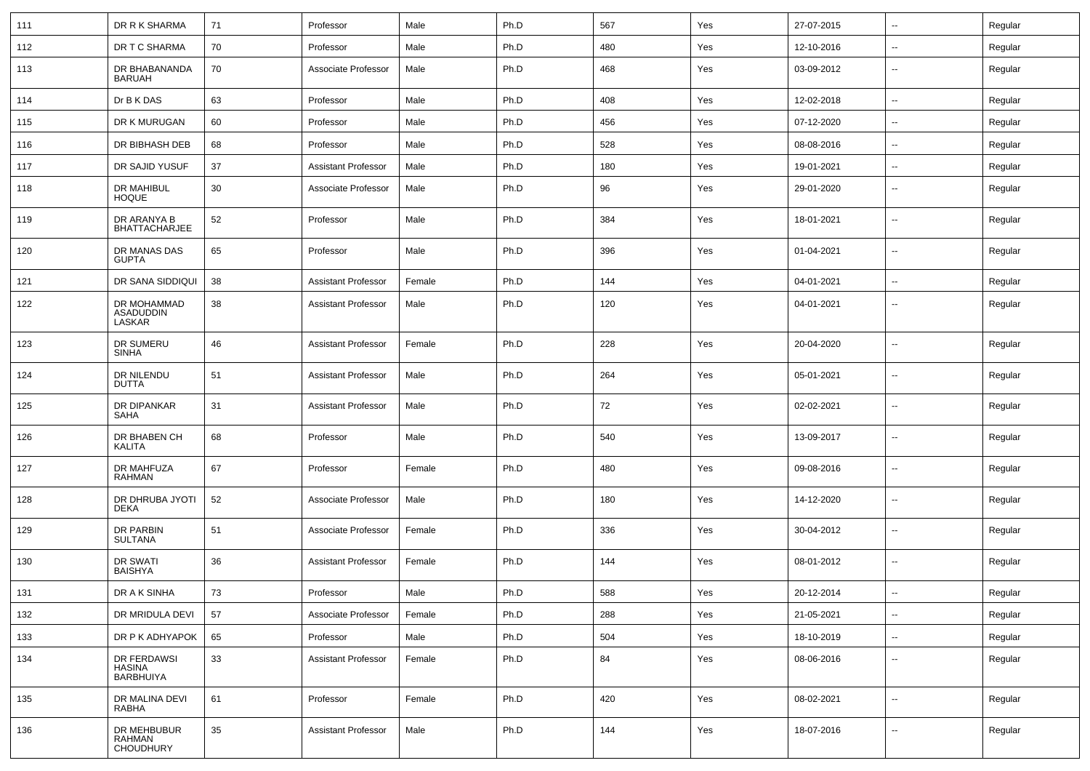| 111 | DR R K SHARMA                             | 71 | Professor                  | Male   | Ph.D | 567 | Yes | 27-07-2015 | $\sim$                   | Regular |
|-----|-------------------------------------------|----|----------------------------|--------|------|-----|-----|------------|--------------------------|---------|
| 112 | DR T C SHARMA                             | 70 | Professor                  | Male   | Ph.D | 480 | Yes | 12-10-2016 | $\sim$                   | Regular |
| 113 | DR BHABANANDA<br><b>BARUAH</b>            | 70 | Associate Professor        | Male   | Ph.D | 468 | Yes | 03-09-2012 | $\overline{\phantom{a}}$ | Regular |
| 114 | Dr B K DAS                                | 63 | Professor                  | Male   | Ph.D | 408 | Yes | 12-02-2018 | $\sim$                   | Regular |
| 115 | DR K MURUGAN                              | 60 | Professor                  | Male   | Ph.D | 456 | Yes | 07-12-2020 | $\overline{\phantom{a}}$ | Regular |
| 116 | DR BIBHASH DEB                            | 68 | Professor                  | Male   | Ph.D | 528 | Yes | 08-08-2016 | $\sim$                   | Regular |
| 117 | DR SAJID YUSUF                            | 37 | <b>Assistant Professor</b> | Male   | Ph.D | 180 | Yes | 19-01-2021 | $\sim$                   | Regular |
| 118 | <b>DR MAHIBUL</b><br><b>HOQUE</b>         | 30 | Associate Professor        | Male   | Ph.D | 96  | Yes | 29-01-2020 | $\sim$                   | Regular |
| 119 | DR ARANYA B<br><b>BHATTACHARJEE</b>       | 52 | Professor                  | Male   | Ph.D | 384 | Yes | 18-01-2021 | $\sim$                   | Regular |
| 120 | DR MANAS DAS<br><b>GUPTA</b>              | 65 | Professor                  | Male   | Ph.D | 396 | Yes | 01-04-2021 | $\sim$                   | Regular |
| 121 | DR SANA SIDDIQUI                          | 38 | <b>Assistant Professor</b> | Female | Ph.D | 144 | Yes | 04-01-2021 | $\sim$                   | Regular |
| 122 | DR MOHAMMAD<br><b>ASADUDDIN</b><br>LASKAR | 38 | <b>Assistant Professor</b> | Male   | Ph.D | 120 | Yes | 04-01-2021 | $\sim$                   | Regular |
| 123 | DR SUMERU<br><b>SINHA</b>                 | 46 | <b>Assistant Professor</b> | Female | Ph.D | 228 | Yes | 20-04-2020 | $\sim$                   | Regular |
| 124 | DR NILENDU<br><b>DUTTA</b>                | 51 | <b>Assistant Professor</b> | Male   | Ph.D | 264 | Yes | 05-01-2021 | $\sim$                   | Regular |
| 125 | DR DIPANKAR<br><b>SAHA</b>                | 31 | <b>Assistant Professor</b> | Male   | Ph.D | 72  | Yes | 02-02-2021 | $\overline{\phantom{a}}$ | Regular |
| 126 | DR BHABEN CH<br><b>KALITA</b>             | 68 | Professor                  | Male   | Ph.D | 540 | Yes | 13-09-2017 | $\sim$                   | Regular |
| 127 | DR MAHFUZA<br><b>RAHMAN</b>               | 67 | Professor                  | Female | Ph.D | 480 | Yes | 09-08-2016 | $\sim$                   | Regular |
| 128 | DR DHRUBA JYOTI<br><b>DEKA</b>            | 52 | Associate Professor        | Male   | Ph.D | 180 | Yes | 14-12-2020 | $\sim$                   | Regular |
| 129 | DR PARBIN<br><b>SULTANA</b>               | 51 | Associate Professor        | Female | Ph.D | 336 | Yes | 30-04-2012 | $\sim$                   | Regular |
| 130 | <b>DR SWATI</b><br><b>BAISHYA</b>         | 36 | <b>Assistant Professor</b> | Female | Ph.D | 144 | Yes | 08-01-2012 | $\sim$                   | Regular |
| 131 | DR A K SINHA                              | 73 | Professor                  | Male   | Ph.D | 588 | Yes | 20-12-2014 |                          | Regular |
| 132 | DR MRIDULA DEVI                           | 57 | Associate Professor        | Female | Ph.D | 288 | Yes | 21-05-2021 | $\sim$                   | Regular |
| 133 | DR P K ADHYAPOK                           | 65 | Professor                  | Male   | Ph.D | 504 | Yes | 18-10-2019 | $\sim$                   | Regular |
| 134 | DR FERDAWSI<br>HASINA<br><b>BARBHUIYA</b> | 33 | <b>Assistant Professor</b> | Female | Ph.D | 84  | Yes | 08-06-2016 | $\sim$                   | Regular |
| 135 | DR MALINA DEVI<br>RABHA                   | 61 | Professor                  | Female | Ph.D | 420 | Yes | 08-02-2021 | $\sim$                   | Regular |
| 136 | DR MEHBUBUR<br>RAHMAN<br><b>CHOUDHURY</b> | 35 | <b>Assistant Professor</b> | Male   | Ph.D | 144 | Yes | 18-07-2016 | $\sim$                   | Regular |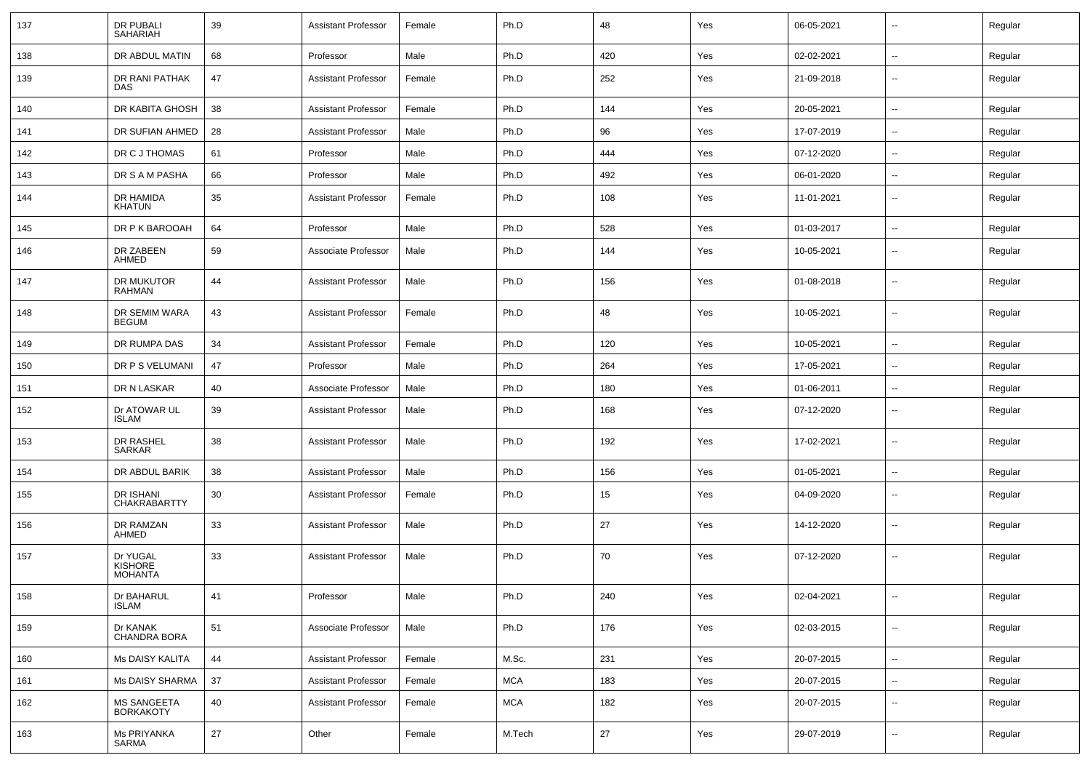| 137 | <b>DR PUBALI</b><br><b>SAHARIAH</b>          | 39 | <b>Assistant Professor</b> | Female | Ph.D       | 48  | Yes | 06-05-2021 | $\sim$                   | Regular |
|-----|----------------------------------------------|----|----------------------------|--------|------------|-----|-----|------------|--------------------------|---------|
| 138 | DR ABDUL MATIN                               | 68 | Professor                  | Male   | Ph.D       | 420 | Yes | 02-02-2021 | $\sim$                   | Regular |
| 139 | DR RANI PATHAK<br><b>DAS</b>                 | 47 | <b>Assistant Professor</b> | Female | Ph.D       | 252 | Yes | 21-09-2018 | $\sim$                   | Regular |
| 140 | DR KABITA GHOSH                              | 38 | <b>Assistant Professor</b> | Female | Ph.D       | 144 | Yes | 20-05-2021 | $\sim$                   | Regular |
| 141 | DR SUFIAN AHMED                              | 28 | <b>Assistant Professor</b> | Male   | Ph.D       | 96  | Yes | 17-07-2019 | $\sim$                   | Regular |
| 142 | DR C J THOMAS                                | 61 | Professor                  | Male   | Ph.D       | 444 | Yes | 07-12-2020 | $\sim$                   | Regular |
| 143 | DR S A M PASHA                               | 66 | Professor                  | Male   | Ph.D       | 492 | Yes | 06-01-2020 | $\overline{\phantom{a}}$ | Regular |
| 144 | <b>DR HAMIDA</b><br><b>KHATUN</b>            | 35 | <b>Assistant Professor</b> | Female | Ph.D       | 108 | Yes | 11-01-2021 | $\sim$                   | Regular |
| 145 | DR P K BAROOAH                               | 64 | Professor                  | Male   | Ph.D       | 528 | Yes | 01-03-2017 | $\sim$                   | Regular |
| 146 | DR ZABEEN<br>AHMED                           | 59 | Associate Professor        | Male   | Ph.D       | 144 | Yes | 10-05-2021 | $\sim$                   | Regular |
| 147 | DR MUKUTOR<br>RAHMAN                         | 44 | <b>Assistant Professor</b> | Male   | Ph.D       | 156 | Yes | 01-08-2018 | $\sim$                   | Regular |
| 148 | DR SEMIM WARA<br><b>BEGUM</b>                | 43 | <b>Assistant Professor</b> | Female | Ph.D       | 48  | Yes | 10-05-2021 | $\sim$                   | Regular |
| 149 | DR RUMPA DAS                                 | 34 | <b>Assistant Professor</b> | Female | Ph.D       | 120 | Yes | 10-05-2021 | $\sim$                   | Regular |
| 150 | DR P S VELUMANI                              | 47 | Professor                  | Male   | Ph.D       | 264 | Yes | 17-05-2021 | $\sim$                   | Regular |
| 151 | DR N LASKAR                                  | 40 | Associate Professor        | Male   | Ph.D       | 180 | Yes | 01-06-2011 | $\overline{\phantom{a}}$ | Regular |
| 152 | Dr ATOWAR UL<br><b>ISLAM</b>                 | 39 | <b>Assistant Professor</b> | Male   | Ph.D       | 168 | Yes | 07-12-2020 | $\sim$                   | Regular |
| 153 | DR RASHEL<br><b>SARKAR</b>                   | 38 | <b>Assistant Professor</b> | Male   | Ph.D       | 192 | Yes | 17-02-2021 | $\sim$                   | Regular |
| 154 | DR ABDUL BARIK                               | 38 | <b>Assistant Professor</b> | Male   | Ph.D       | 156 | Yes | 01-05-2021 |                          | Regular |
| 155 | DR ISHANI<br>CHAKRABARTTY                    | 30 | <b>Assistant Professor</b> | Female | Ph.D       | 15  | Yes | 04-09-2020 | $\overline{\phantom{a}}$ | Regular |
| 156 | DR RAMZAN<br><b>AHMED</b>                    | 33 | <b>Assistant Professor</b> | Male   | Ph.D       | 27  | Yes | 14-12-2020 | $\overline{\phantom{a}}$ | Regular |
| 157 | Dr YUGAL<br><b>KISHORE</b><br><b>MOHANTA</b> | 33 | <b>Assistant Professor</b> | Male   | Ph.D       | 70  | Yes | 07-12-2020 | $\overline{\phantom{a}}$ | Regular |
| 158 | Dr BAHARUL<br><b>ISLAM</b>                   | 41 | Professor                  | Male   | Ph.D       | 240 | Yes | 02-04-2021 | $\overline{\phantom{a}}$ | Regular |
| 159 | Dr KANAK<br>CHANDRA BORA                     | 51 | Associate Professor        | Male   | Ph.D       | 176 | Yes | 02-03-2015 | $\sim$                   | Regular |
| 160 | Ms DAISY KALITA                              | 44 | <b>Assistant Professor</b> | Female | M.Sc.      | 231 | Yes | 20-07-2015 | $\sim$                   | Regular |
| 161 | Ms DAISY SHARMA                              | 37 | Assistant Professor        | Female | <b>MCA</b> | 183 | Yes | 20-07-2015 | $\sim$                   | Regular |
| 162 | MS SANGEETA<br>BORKAKOTY                     | 40 | <b>Assistant Professor</b> | Female | <b>MCA</b> | 182 | Yes | 20-07-2015 | $\sim$                   | Regular |
| 163 | Ms PRIYANKA<br>SARMA                         | 27 | Other                      | Female | M.Tech     | 27  | Yes | 29-07-2019 | $\sim$                   | Regular |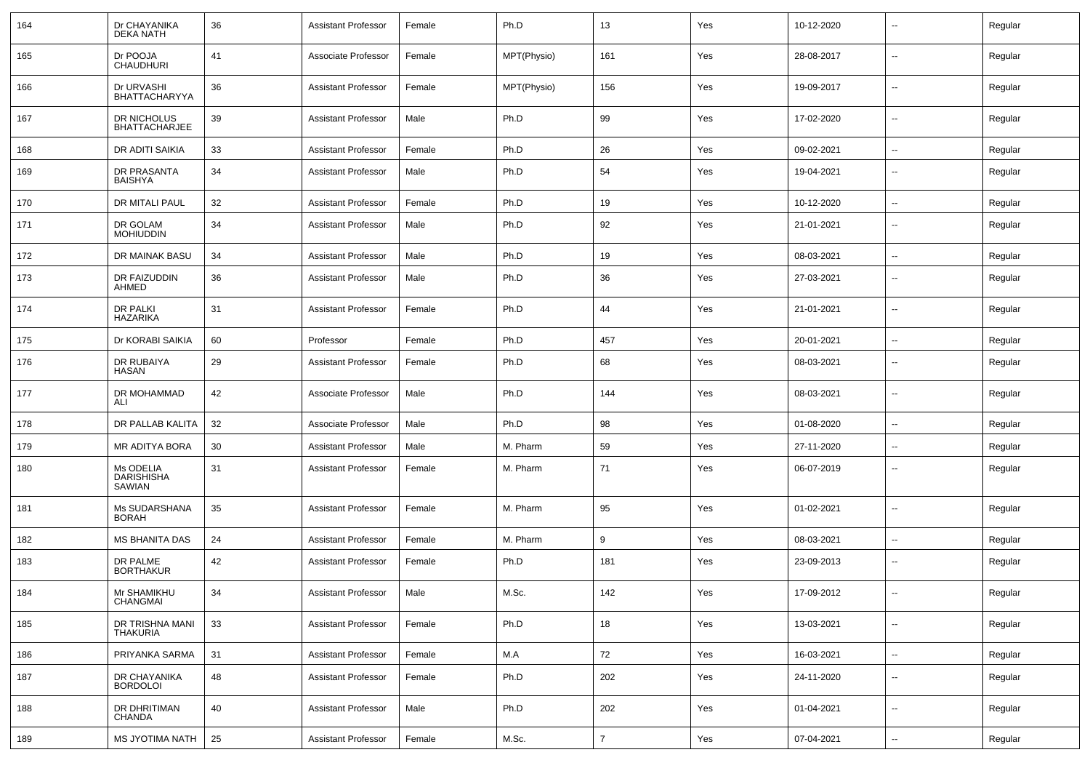| 164 | Dr CHAYANIKA<br><b>DEKA NATH</b>         | 36 | Assistant Professor        | Female | Ph.D        | 13             | Yes | 10-12-2020 |                          | Regular |
|-----|------------------------------------------|----|----------------------------|--------|-------------|----------------|-----|------------|--------------------------|---------|
| 165 | Dr POOJA<br><b>CHAUDHURI</b>             | 41 | Associate Professor        | Female | MPT(Physio) | 161            | Yes | 28-08-2017 | $\sim$                   | Regular |
| 166 | Dr URVASHI<br><b>BHATTACHARYYA</b>       | 36 | <b>Assistant Professor</b> | Female | MPT(Physio) | 156            | Yes | 19-09-2017 | $\sim$                   | Regular |
| 167 | DR NICHOLUS<br><b>BHATTACHARJEE</b>      | 39 | Assistant Professor        | Male   | Ph.D        | 99             | Yes | 17-02-2020 | $\sim$                   | Regular |
| 168 | DR ADITI SAIKIA                          | 33 | <b>Assistant Professor</b> | Female | Ph.D        | 26             | Yes | 09-02-2021 | $\sim$                   | Regular |
| 169 | DR PRASANTA<br>BAISHYA                   | 34 | <b>Assistant Professor</b> | Male   | Ph.D        | 54             | Yes | 19-04-2021 | $\overline{a}$           | Regular |
| 170 | DR MITALI PAUL                           | 32 | Assistant Professor        | Female | Ph.D        | 19             | Yes | 10-12-2020 | $\mathbf{u}$             | Regular |
| 171 | DR GOLAM<br><b>MOHIUDDIN</b>             | 34 | <b>Assistant Professor</b> | Male   | Ph.D        | 92             | Yes | 21-01-2021 | $\overline{\phantom{a}}$ | Regular |
| 172 | DR MAINAK BASU                           | 34 | <b>Assistant Professor</b> | Male   | Ph.D        | 19             | Yes | 08-03-2021 | $\overline{\phantom{a}}$ | Regular |
| 173 | DR FAIZUDDIN<br>AHMED                    | 36 | <b>Assistant Professor</b> | Male   | Ph.D        | 36             | Yes | 27-03-2021 | $\overline{\phantom{a}}$ | Regular |
| 174 | <b>DR PALKI</b><br><b>HAZARIKA</b>       | 31 | <b>Assistant Professor</b> | Female | Ph.D        | 44             | Yes | 21-01-2021 | $\overline{\phantom{a}}$ | Regular |
| 175 | Dr KORABI SAIKIA                         | 60 | Professor                  | Female | Ph.D        | 457            | Yes | 20-01-2021 | $\overline{\phantom{a}}$ | Regular |
| 176 | DR RUBAIYA<br>HASAN                      | 29 | <b>Assistant Professor</b> | Female | Ph.D        | 68             | Yes | 08-03-2021 | $\overline{\phantom{a}}$ | Regular |
| 177 | DR MOHAMMAD<br>ALI                       | 42 | Associate Professor        | Male   | Ph.D        | 144            | Yes | 08-03-2021 | --                       | Regular |
| 178 | DR PALLAB KALITA                         | 32 | Associate Professor        | Male   | Ph.D        | 98             | Yes | 01-08-2020 | $\mathbf{u}$             | Regular |
| 179 | MR ADITYA BORA                           | 30 | <b>Assistant Professor</b> | Male   | M. Pharm    | 59             | Yes | 27-11-2020 | $\sim$                   | Regular |
| 180 | Ms ODELIA<br><b>DARISHISHA</b><br>SAWIAN | 31 | <b>Assistant Professor</b> | Female | M. Pharm    | 71             | Yes | 06-07-2019 | $\overline{\phantom{a}}$ | Regular |
| 181 | Ms SUDARSHANA<br><b>BORAH</b>            | 35 | <b>Assistant Professor</b> | Female | M. Pharm    | 95             | Yes | 01-02-2021 | $\mathbf{u}$             | Regular |
| 182 | <b>MS BHANITA DAS</b>                    | 24 | <b>Assistant Professor</b> | Female | M. Pharm    | 9              | Yes | 08-03-2021 | $\mathbf{u}$             | Regular |
| 183 | DR PALME<br><b>BORTHAKUR</b>             | 42 | Assistant Professor        | Female | Ph.D        | 181            | Yes | 23-09-2013 | $\sim$                   | Regular |
| 184 | Mr SHAMIKHU<br><b>CHANGMAI</b>           | 34 | <b>Assistant Professor</b> | Male   | M.Sc.       | 142            | Yes | 17-09-2012 | --                       | Regular |
| 185 | DR TRISHNA MANI<br><b>THAKURIA</b>       | 33 | <b>Assistant Professor</b> | Female | Ph.D        | 18             | Yes | 13-03-2021 | $\sim$                   | Regular |
| 186 | PRIYANKA SARMA                           | 31 | <b>Assistant Professor</b> | Female | M.A         | 72             | Yes | 16-03-2021 | $\sim$                   | Regular |
| 187 | DR CHAYANIKA<br><b>BORDOLOI</b>          | 48 | <b>Assistant Professor</b> | Female | Ph.D        | 202            | Yes | 24-11-2020 | $\sim$                   | Regular |
| 188 | DR DHRITIMAN<br>CHANDA                   | 40 | <b>Assistant Professor</b> | Male   | Ph.D        | 202            | Yes | 01-04-2021 | ш,                       | Regular |
| 189 | <b>MS JYOTIMA NATH</b>                   | 25 | <b>Assistant Professor</b> | Female | M.Sc.       | $\overline{7}$ | Yes | 07-04-2021 | $\sim$                   | Regular |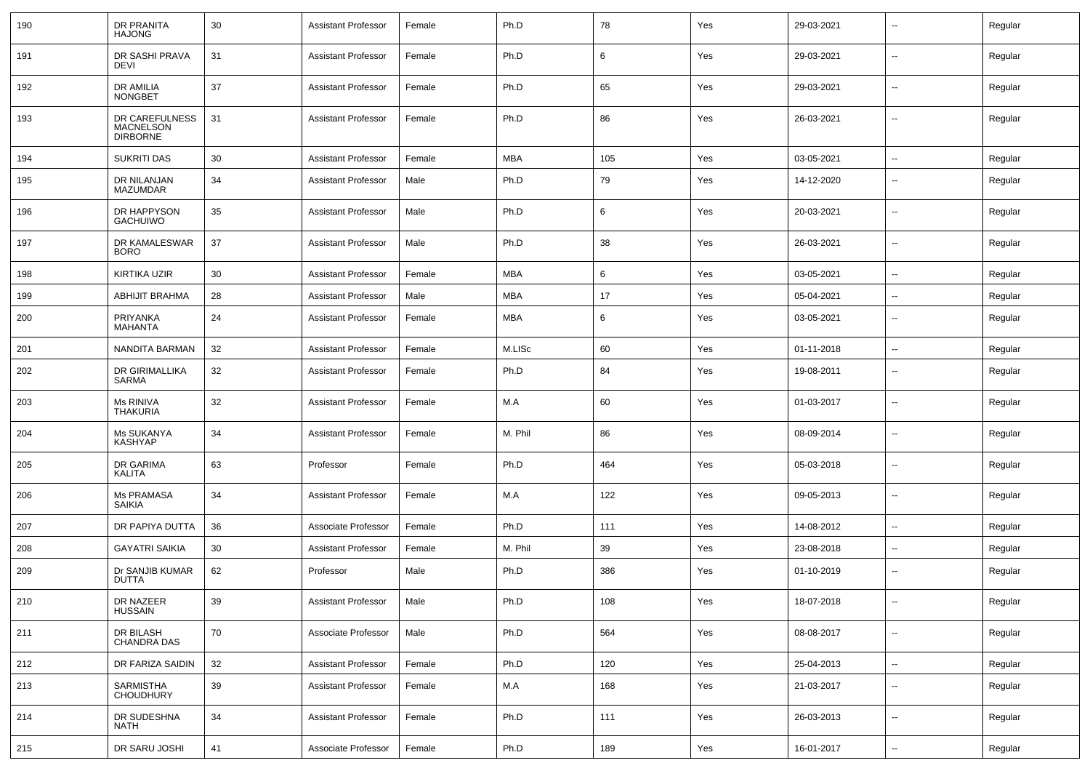| 190 | <b>DR PRANITA</b><br><b>HAJONG</b>             | 30 | <b>Assistant Professor</b> | Female | Ph.D       | 78  | Yes | 29-03-2021 | $\sim$                   | Regular |
|-----|------------------------------------------------|----|----------------------------|--------|------------|-----|-----|------------|--------------------------|---------|
| 191 | DR SASHI PRAVA<br>DEVI                         | 31 | <b>Assistant Professor</b> | Female | Ph.D       | 6   | Yes | 29-03-2021 | $\sim$                   | Regular |
| 192 | DR AMILIA<br><b>NONGBET</b>                    | 37 | <b>Assistant Professor</b> | Female | Ph.D       | 65  | Yes | 29-03-2021 | $\sim$                   | Regular |
| 193 | DR CAREFULNESS<br>MACNELSON<br><b>DIRBORNE</b> | 31 | <b>Assistant Professor</b> | Female | Ph.D       | 86  | Yes | 26-03-2021 | $\overline{\phantom{a}}$ | Regular |
| 194 | <b>SUKRITI DAS</b>                             | 30 | <b>Assistant Professor</b> | Female | <b>MBA</b> | 105 | Yes | 03-05-2021 | $\sim$                   | Regular |
| 195 | <b>DR NILANJAN</b><br>MAZUMDAR                 | 34 | Assistant Professor        | Male   | Ph.D       | 79  | Yes | 14-12-2020 | $\sim$                   | Regular |
| 196 | DR HAPPYSON<br><b>GACHUIWO</b>                 | 35 | <b>Assistant Professor</b> | Male   | Ph.D       | 6   | Yes | 20-03-2021 | $\overline{\phantom{a}}$ | Regular |
| 197 | DR KAMALESWAR<br><b>BORO</b>                   | 37 | Assistant Professor        | Male   | Ph.D       | 38  | Yes | 26-03-2021 | $\sim$                   | Regular |
| 198 | <b>KIRTIKA UZIR</b>                            | 30 | <b>Assistant Professor</b> | Female | <b>MBA</b> | 6   | Yes | 03-05-2021 | $\sim$                   | Regular |
| 199 | ABHIJIT BRAHMA                                 | 28 | <b>Assistant Professor</b> | Male   | MBA        | 17  | Yes | 05-04-2021 | $\sim$                   | Regular |
| 200 | PRIYANKA<br><b>MAHANTA</b>                     | 24 | <b>Assistant Professor</b> | Female | MBA        | 6   | Yes | 03-05-2021 | $\sim$                   | Regular |
| 201 | NANDITA BARMAN                                 | 32 | <b>Assistant Professor</b> | Female | M.LISc     | 60  | Yes | 01-11-2018 | $\sim$                   | Regular |
| 202 | DR GIRIMALLIKA<br>SARMA                        | 32 | <b>Assistant Professor</b> | Female | Ph.D       | 84  | Yes | 19-08-2011 | $\overline{\phantom{a}}$ | Regular |
| 203 | Ms RINIVA<br><b>THAKURIA</b>                   | 32 | <b>Assistant Professor</b> | Female | M.A        | 60  | Yes | 01-03-2017 | $\sim$                   | Regular |
| 204 | Ms SUKANYA<br><b>KASHYAP</b>                   | 34 | <b>Assistant Professor</b> | Female | M. Phil    | 86  | Yes | 08-09-2014 | $\overline{\phantom{a}}$ | Regular |
| 205 | DR GARIMA<br>KALITA                            | 63 | Professor                  | Female | Ph.D       | 464 | Yes | 05-03-2018 | $\sim$                   | Regular |
| 206 | <b>Ms PRAMASA</b><br><b>SAIKIA</b>             | 34 | <b>Assistant Professor</b> | Female | M.A        | 122 | Yes | 09-05-2013 | $\sim$                   | Regular |
| 207 | DR PAPIYA DUTTA                                | 36 | Associate Professor        | Female | Ph.D       | 111 | Yes | 14-08-2012 | $\sim$                   | Regular |
| 208 | <b>GAYATRI SAIKIA</b>                          | 30 | <b>Assistant Professor</b> | Female | M. Phil    | 39  | Yes | 23-08-2018 | $\sim$                   | Regular |
| 209 | Dr SANJIB KUMAR<br><b>DUTTA</b>                | 62 | Professor                  | Male   | Ph.D       | 386 | Yes | 01-10-2019 | $\overline{\phantom{a}}$ | Regular |
| 210 | DR NAZEER<br>HUSSAIN                           | 39 | <b>Assistant Professor</b> | Male   | Ph.D       | 108 | Yes | 18-07-2018 | $\sim$                   | Regular |
| 211 | DR BILASH<br>CHANDRA DAS                       | 70 | Associate Professor        | Male   | Ph.D       | 564 | Yes | 08-08-2017 | $\sim$                   | Regular |
| 212 | DR FARIZA SAIDIN                               | 32 | <b>Assistant Professor</b> | Female | Ph.D       | 120 | Yes | 25-04-2013 | $\sim$                   | Regular |
| 213 | <b>SARMISTHA</b><br><b>CHOUDHURY</b>           | 39 | <b>Assistant Professor</b> | Female | M.A        | 168 | Yes | 21-03-2017 | $\sim$                   | Regular |
| 214 | DR SUDESHNA<br><b>NATH</b>                     | 34 | <b>Assistant Professor</b> | Female | Ph.D       | 111 | Yes | 26-03-2013 | $\sim$                   | Regular |
| 215 | DR SARU JOSHI                                  | 41 | Associate Professor        | Female | Ph.D       | 189 | Yes | 16-01-2017 | $\sim$                   | Regular |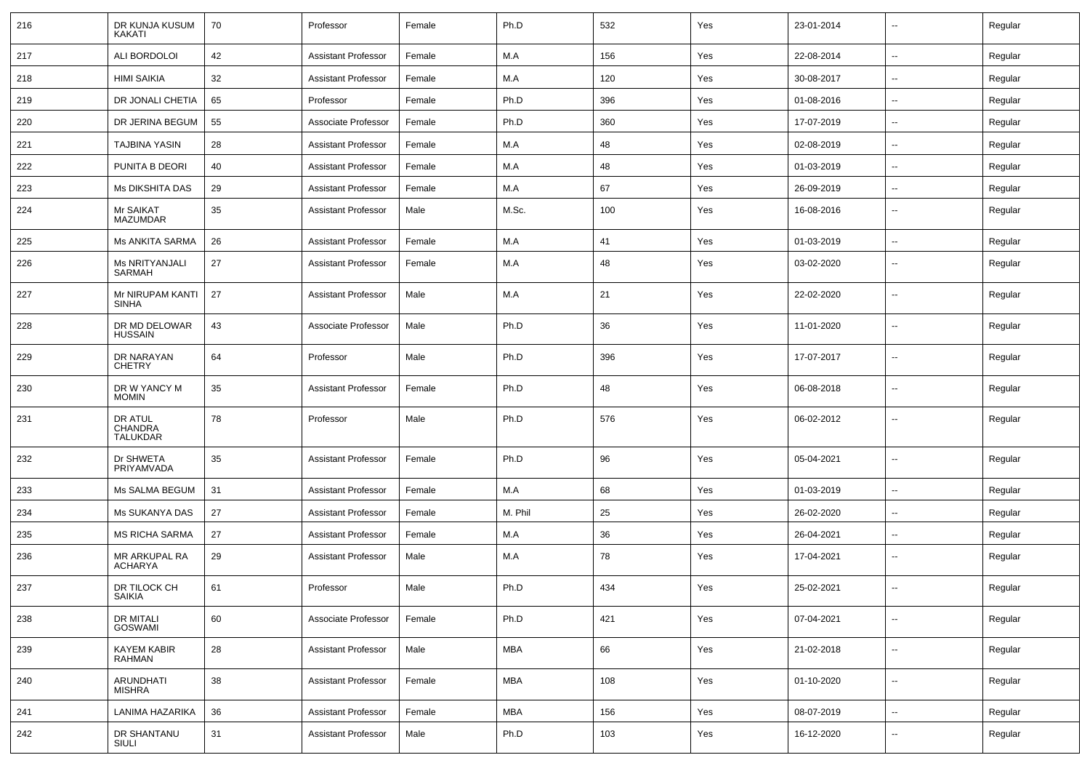| 216 | DR KUNJA KUSUM<br>KAKATI                     | 70 | Professor                  | Female | Ph.D       | 532 | Yes | 23-01-2014 | $\sim$                   | Regular |
|-----|----------------------------------------------|----|----------------------------|--------|------------|-----|-----|------------|--------------------------|---------|
| 217 | ALI BORDOLOI                                 | 42 | <b>Assistant Professor</b> | Female | M.A        | 156 | Yes | 22-08-2014 | $\sim$                   | Regular |
| 218 | <b>HIMI SAIKIA</b>                           | 32 | <b>Assistant Professor</b> | Female | M.A        | 120 | Yes | 30-08-2017 | $\overline{\phantom{a}}$ | Regular |
| 219 | DR JONALI CHETIA                             | 65 | Professor                  | Female | Ph.D       | 396 | Yes | 01-08-2016 | $\overline{\phantom{a}}$ | Regular |
| 220 | DR JERINA BEGUM                              | 55 | Associate Professor        | Female | Ph.D       | 360 | Yes | 17-07-2019 | $\overline{\phantom{a}}$ | Regular |
| 221 | <b>TAJBINA YASIN</b>                         | 28 | <b>Assistant Professor</b> | Female | M.A        | 48  | Yes | 02-08-2019 | --                       | Regular |
| 222 | PUNITA B DEORI                               | 40 | <b>Assistant Professor</b> | Female | M.A        | 48  | Yes | 01-03-2019 | $\overline{a}$           | Regular |
| 223 | <b>Ms DIKSHITA DAS</b>                       | 29 | <b>Assistant Professor</b> | Female | M.A        | 67  | Yes | 26-09-2019 | $\sim$                   | Regular |
| 224 | Mr SAIKAT<br>MAZUMDAR                        | 35 | <b>Assistant Professor</b> | Male   | M.Sc.      | 100 | Yes | 16-08-2016 | $\overline{\phantom{a}}$ | Regular |
| 225 | <b>Ms ANKITA SARMA</b>                       | 26 | <b>Assistant Professor</b> | Female | M.A        | 41  | Yes | 01-03-2019 | $\sim$                   | Regular |
| 226 | Ms NRITYANJALI<br>SARMAH                     | 27 | <b>Assistant Professor</b> | Female | M.A        | 48  | Yes | 03-02-2020 | $\overline{\phantom{a}}$ | Regular |
| 227 | Mr NIRUPAM KANTI<br><b>SINHA</b>             | 27 | <b>Assistant Professor</b> | Male   | M.A        | 21  | Yes | 22-02-2020 | $\mathbf{u}$             | Regular |
| 228 | DR MD DELOWAR<br><b>HUSSAIN</b>              | 43 | Associate Professor        | Male   | Ph.D       | 36  | Yes | 11-01-2020 | $\overline{\phantom{a}}$ | Regular |
| 229 | DR NARAYAN<br><b>CHETRY</b>                  | 64 | Professor                  | Male   | Ph.D       | 396 | Yes | 17-07-2017 | $\overline{\phantom{a}}$ | Regular |
| 230 | DR W YANCY M<br><b>MOMIN</b>                 | 35 | Assistant Professor        | Female | Ph.D       | 48  | Yes | 06-08-2018 | $\overline{a}$           | Regular |
| 231 | DR ATUL<br><b>CHANDRA</b><br><b>TALUKDAR</b> | 78 | Professor                  | Male   | Ph.D       | 576 | Yes | 06-02-2012 | --                       | Regular |
| 232 | Dr SHWETA<br>PRIYAMVADA                      | 35 | <b>Assistant Professor</b> | Female | Ph.D       | 96  | Yes | 05-04-2021 | $\mathbf{u}$             | Regular |
| 233 | Ms SALMA BEGUM                               | 31 | <b>Assistant Professor</b> | Female | M.A        | 68  | Yes | 01-03-2019 | $\overline{\phantom{a}}$ | Regular |
| 234 | Ms SUKANYA DAS                               | 27 | Assistant Professor        | Female | M. Phil    | 25  | Yes | 26-02-2020 | $\overline{a}$           | Regular |
| 235 | <b>MS RICHA SARMA</b>                        | 27 | <b>Assistant Professor</b> | Female | M.A        | 36  | Yes | 26-04-2021 | $\overline{\phantom{a}}$ | Regular |
| 236 | MR ARKUPAL RA<br><b>ACHARYA</b>              | 29 | Assistant Professor        | Male   | M.A        | 78  | Yes | 17-04-2021 | --                       | Regular |
| 237 | DR TILOCK CH<br>SAIKIA                       | 61 | Professor                  | Male   | Ph.D       | 434 | Yes | 25-02-2021 | $\overline{\phantom{a}}$ | Regular |
| 238 | DR MITALI<br>GOSWAMI                         | 60 | Associate Professor        | Female | Ph.D       | 421 | Yes | 07-04-2021 | $\mathbf{u}$             | Regular |
| 239 | <b>KAYEM KABIR</b><br><b>RAHMAN</b>          | 28 | <b>Assistant Professor</b> | Male   | <b>MBA</b> | 66  | Yes | 21-02-2018 | $\overline{\phantom{a}}$ | Regular |
| 240 | ARUNDHATI<br><b>MISHRA</b>                   | 38 | <b>Assistant Professor</b> | Female | <b>MBA</b> | 108 | Yes | 01-10-2020 | $\sim$                   | Regular |
| 241 | LANIMA HAZARIKA                              | 36 | <b>Assistant Professor</b> | Female | <b>MBA</b> | 156 | Yes | 08-07-2019 | $\sim$                   | Regular |
| 242 | DR SHANTANU<br>SIULI                         | 31 | <b>Assistant Professor</b> | Male   | Ph.D       | 103 | Yes | 16-12-2020 | $\sim$                   | Regular |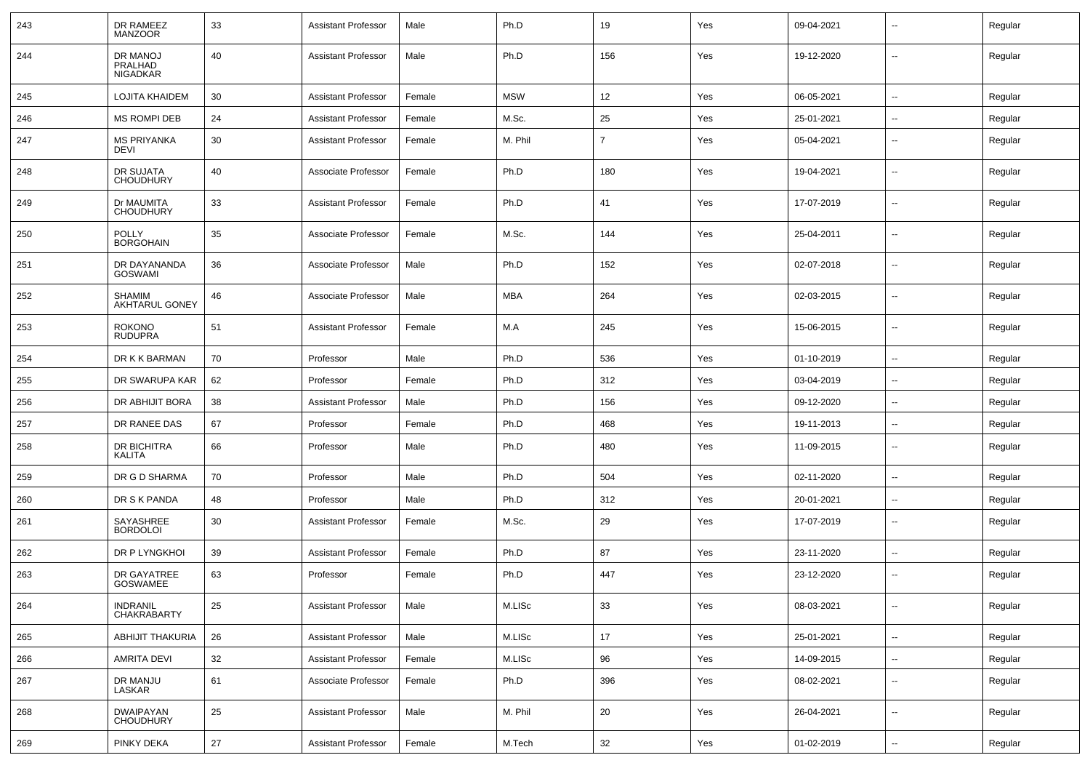| 243 | DR RAMEEZ<br><b>MANZOOR</b>            | 33 | <b>Assistant Professor</b> | Male   | Ph.D       | 19             | Yes | 09-04-2021 |                          | Regular |
|-----|----------------------------------------|----|----------------------------|--------|------------|----------------|-----|------------|--------------------------|---------|
| 244 | DR MANOJ<br>PRALHAD<br><b>NIGADKAR</b> | 40 | <b>Assistant Professor</b> | Male   | Ph.D       | 156            | Yes | 19-12-2020 | $\mathbf{u}$             | Regular |
| 245 | <b>LOJITA KHAIDEM</b>                  | 30 | <b>Assistant Professor</b> | Female | <b>MSW</b> | 12             | Yes | 06-05-2021 | $\overline{\phantom{a}}$ | Regular |
| 246 | MS ROMPI DEB                           | 24 | Assistant Professor        | Female | M.Sc.      | 25             | Yes | 25-01-2021 | $\sim$                   | Regular |
| 247 | <b>MS PRIYANKA</b><br><b>DEVI</b>      | 30 | Assistant Professor        | Female | M. Phil    | $\overline{7}$ | Yes | 05-04-2021 | --                       | Regular |
| 248 | DR SUJATA<br><b>CHOUDHURY</b>          | 40 | Associate Professor        | Female | Ph.D       | 180            | Yes | 19-04-2021 | $\overline{\phantom{a}}$ | Regular |
| 249 | Dr MAUMITA<br><b>CHOUDHURY</b>         | 33 | Assistant Professor        | Female | Ph.D       | 41             | Yes | 17-07-2019 | $\overline{\phantom{a}}$ | Regular |
| 250 | <b>POLLY</b><br><b>BORGOHAIN</b>       | 35 | Associate Professor        | Female | M.Sc.      | 144            | Yes | 25-04-2011 | $\overline{a}$           | Regular |
| 251 | DR DAYANANDA<br>GOSWAMI                | 36 | Associate Professor        | Male   | Ph.D       | 152            | Yes | 02-07-2018 | $\overline{\phantom{a}}$ | Regular |
| 252 | <b>SHAMIM</b><br>AKHTARUL GONEY        | 46 | Associate Professor        | Male   | <b>MBA</b> | 264            | Yes | 02-03-2015 | --                       | Regular |
| 253 | <b>ROKONO</b><br><b>RUDUPRA</b>        | 51 | Assistant Professor        | Female | M.A        | 245            | Yes | 15-06-2015 | $\overline{\phantom{a}}$ | Regular |
| 254 | DR K K BARMAN                          | 70 | Professor                  | Male   | Ph.D       | 536            | Yes | 01-10-2019 | --                       | Regular |
| 255 | DR SWARUPA KAR                         | 62 | Professor                  | Female | Ph.D       | 312            | Yes | 03-04-2019 | $\overline{\phantom{a}}$ | Regular |
| 256 | DR ABHIJIT BORA                        | 38 | <b>Assistant Professor</b> | Male   | Ph.D       | 156            | Yes | 09-12-2020 | $\overline{\phantom{a}}$ | Regular |
| 257 | DR RANEE DAS                           | 67 | Professor                  | Female | Ph.D       | 468            | Yes | 19-11-2013 | $\mathbf{u}$             | Regular |
| 258 | DR BICHITRA<br>KALITA                  | 66 | Professor                  | Male   | Ph.D       | 480            | Yes | 11-09-2015 | $\sim$                   | Regular |
| 259 | DR G D SHARMA                          | 70 | Professor                  | Male   | Ph.D       | 504            | Yes | 02-11-2020 | $\mathbf{u}$             | Regular |
| 260 | DR S K PANDA                           | 48 | Professor                  | Male   | Ph.D       | 312            | Yes | 20-01-2021 | $\sim$                   | Regular |
| 261 | SAYASHREE<br><b>BORDOLOI</b>           | 30 | Assistant Professor        | Female | M.Sc.      | 29             | Yes | 17-07-2019 | $\overline{\phantom{a}}$ | Regular |
| 262 | DR P LYNGKHOI                          | 39 | Assistant Professor        | Female | Ph.D       | 87             | Yes | 23-11-2020 | $\overline{\phantom{a}}$ | Regular |
| 263 | DR GAYATREE<br>GOSWAMEE                | 63 | Professor                  | Female | Ph.D       | 447            | Yes | 23-12-2020 | $\overline{\phantom{a}}$ | Regular |
| 264 | INDRANIL<br>CHAKRABARTY                | 25 | <b>Assistant Professor</b> | Male   | M.LISc     | 33             | Yes | 08-03-2021 | $\overline{\phantom{a}}$ | Regular |
| 265 | <b>ABHIJIT THAKURIA</b>                | 26 | <b>Assistant Professor</b> | Male   | M.LISc     | 17             | Yes | 25-01-2021 | $\sim$                   | Regular |
| 266 | <b>AMRITA DEVI</b>                     | 32 | Assistant Professor        | Female | M.LISc     | 96             | Yes | 14-09-2015 | $\sim$                   | Regular |
| 267 | DR MANJU<br>LASKAR                     | 61 | Associate Professor        | Female | Ph.D       | 396            | Yes | 08-02-2021 | $\sim$                   | Regular |
| 268 | <b>DWAIPAYAN</b><br>CHOUDHURY          | 25 | <b>Assistant Professor</b> | Male   | M. Phil    | 20             | Yes | 26-04-2021 | $\sim$                   | Regular |
| 269 | PINKY DEKA                             | 27 | <b>Assistant Professor</b> | Female | M.Tech     | 32             | Yes | 01-02-2019 | $\overline{\phantom{a}}$ | Regular |